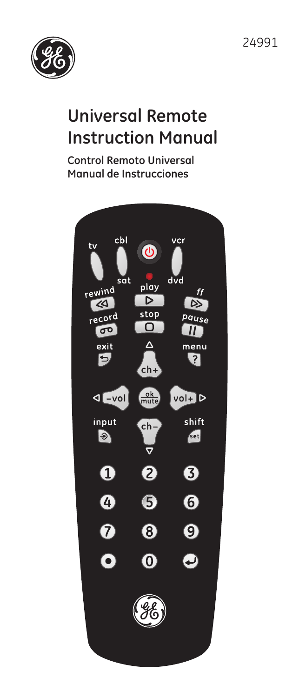

# **Universal Remote Instruction Manual**

**Control Remoto Universal Manual de Instrucciones**

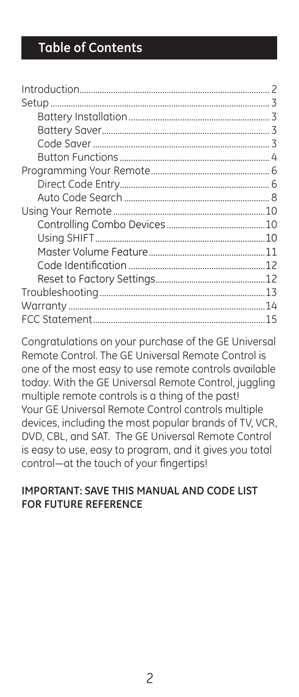## **Table of Contents**

Congratulations on your purchase of the GE Universal Remote Control. The GE Universal Remote Control is one of the most easy to use remote controls available today. With the GE Universal Remote Control, juggling multiple remote controls is a thing of the past! Your GE Universal Remote Control controls multiple devices, including the most popular brands of TV, VCR, DVD, CBL, and SAT. The GE Universal Remote Control is easy to use, easy to program, and it gives you total control—at the touch of your fingertips!

### **IMPORTANT: SAVE THIS MANUAL AND CODE LIST FOR FUTURE REFERENCE**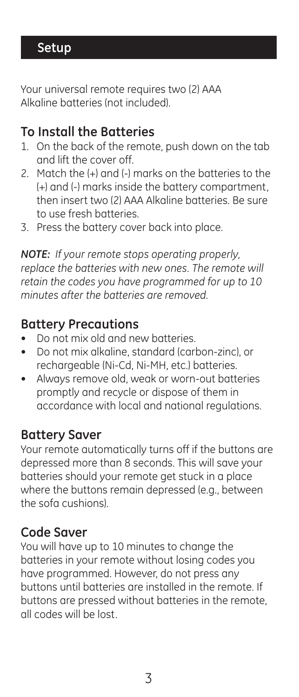## **Setup**

Your universal remote requires two (2) AAA Alkaline batteries (not included).

## **To Install the Batteries**

- 1. On the back of the remote, push down on the tab and lift the cover off.
- 2. Match the (+) and (-) marks on the batteries to the (+) and (-) marks inside the battery compartment, then insert two (2) AAA Alkaline batteries. Be sure to use fresh batteries.
- 3. Press the battery cover back into place.

*NOTE: If your remote stops operating properly, replace the batteries with new ones. The remote will retain the codes you have programmed for up to 10 minutes after the batteries are removed.*

## **Battery Precautions**

- Do not mix old and new batteries.
- Do not mix alkaline, standard (carbon-zinc), or rechargeable (Ni-Cd, Ni-MH, etc.) batteries.
- Always remove old, weak or worn-out batteries promptly and recycle or dispose of them in accordance with local and national regulations.

## **Battery Saver**

Your remote automatically turns off if the buttons are depressed more than 8 seconds. This will save your batteries should your remote get stuck in a place where the buttons remain depressed (e.g., between the sofa cushions).

## **Code Saver**

You will have up to 10 minutes to change the batteries in your remote without losing codes you have programmed. However, do not press any buttons until batteries are installed in the remote. If buttons are pressed without batteries in the remote, all codes will be lost.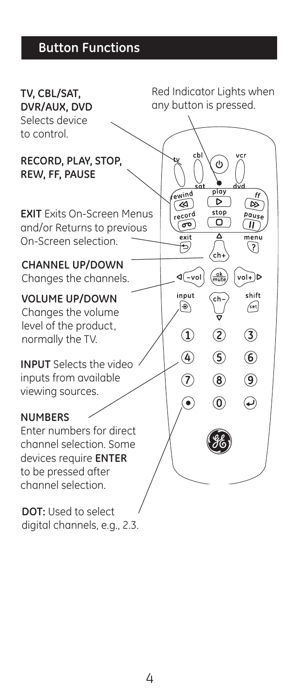## **Button Functions**



digital channels, e.g., 2.3.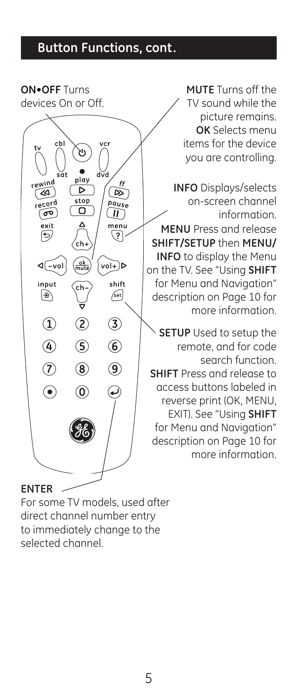## **Button Functions, cont.**

**ON•OFF** Turns devices On or Off. play  $\overline{\mathcal{A}}$ Þ  $\alpha$ stop record pause о ೲ  $\circled{1}$ exit menu G .? .<br>ch  $\sqrt{-\text{vol}}$  $\frac{6k}{m}$  $vol+D$ input shift  $\sqrt{\text{set}}$ ◉  $\bigcirc$  $\circled{2}$  $\circled{3}$  $\overline{4}$  $\circledast$  $\circledS$  $\widehat{a}$  $\circledcirc$  $\circled{8}$  $\odot$  $\circledcirc$ ↩

**MUTE** Turns off the TV sound while the picture remains. **OK** Selects menu items for the device you are controlling.

**INFO** Displays/selects on-screen channel information. **MENU** Press and release **SHIFT/SETUP** then **MENU/ INFO** to display the Menu on the TV. See "Using **SHIFT** for Menu and Navigation" description on Page 10 for more information.

**SETUP** Used to setup the remote, and for code search function. **SHIFT** Press and release to access buttons labeled in reverse print (OK, MENU, EXIT). See "Using **SHIFT** for Menu and Navigation" description on Page 10 for more information.

#### **ENTER**

For some TV models, used after direct channel number entry to immediately change to the selected channel.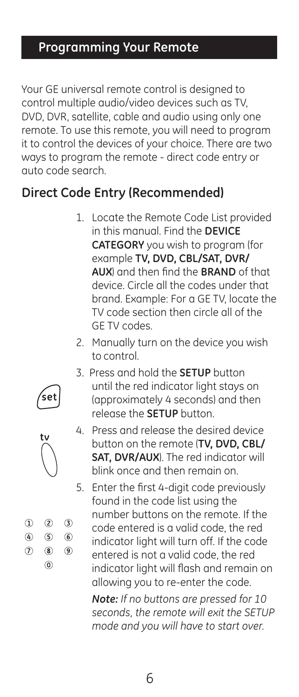## **Programming Your Remote**

Your GE universal remote control is designed to control multiple audio/video devices such as TV, DVD, DVR, satellite, cable and audio using only one remote. To use this remote, you will need to program it to control the devices of your choice. There are two ways to program the remote - direct code entry or auto code search.

## **Direct Code Entry (Recommended)**

- 1. Locate the Remote Code List provided in this manual. Find the **DEVICE CATEGORY** you wish to program (for example **TV, DVD, CBL/SAT, DVR/ AUX**) and then find the **BRAND** of that device. Circle all the codes under that brand. Example: For a GE TV, locate the TV code section then circle all of the GE TV codes.
- 2. Manually turn on the device you wish to control.
- 3. Press and hold the **SETUP** button until the red indicator light stays on (approximately 4 seconds) and then release the **SETUP** button.



5. Enter the first 4-digit code previously found in the code list using the number buttons on the remote. If the code entered is a valid code, the red indicator light will turn off. If the code entered is not a valid code, the red indicator light will flash and remain on allowing you to re-enter the code.

*Note: If no buttons are pressed for 10 seconds, the remote will exit the SETUP mode and you will have to start over.*

6





 $\circledcirc$ 

 $\circledS$  $\circledS$ 

 $(8)$  $\circledcirc$  $\circledcirc$ 

 $(3)$ 

 $\Omega$  $\circledA$  $(7)$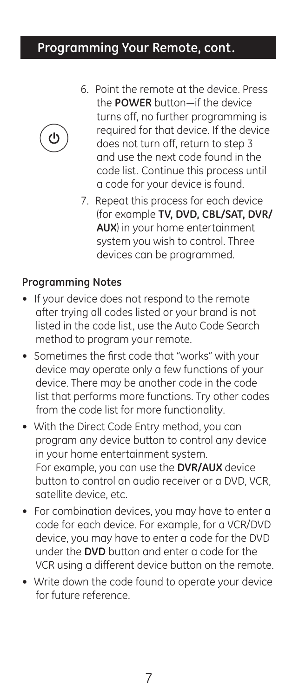## **Programming Your Remote, cont.**



- 6. Point the remote at the device. Press the **POWER** button—if the device turns off, no further programming is required for that device. If the device does not turn off, return to step 3 and use the next code found in the code list. Continue this process until a code for your device is found.
- 7. Repeat this process for each device (for example **TV, DVD, CBL/SAT, DVR/ AUX**) in your home entertainment system you wish to control. Three devices can be programmed.

### **Programming Notes**

- If your device does not respond to the remote after trying all codes listed or your brand is not listed in the code list, use the Auto Code Search method to program your remote.
- Sometimes the first code that "works" with your device may operate only a few functions of your device. There may be another code in the code list that performs more functions. Try other codes from the code list for more functionality.
- With the Direct Code Entry method, you can program any device button to control any device in your home entertainment system. For example, you can use the **DVR/AUX** device button to control an audio receiver or a DVD, VCR, satellite device, etc.
- For combination devices, you may have to enter a code for each device. For example, for a VCR/DVD device, you may have to enter a code for the DVD under the **DVD** button and enter a code for the VCR using a different device button on the remote.
- Write down the code found to operate your device for future reference.

7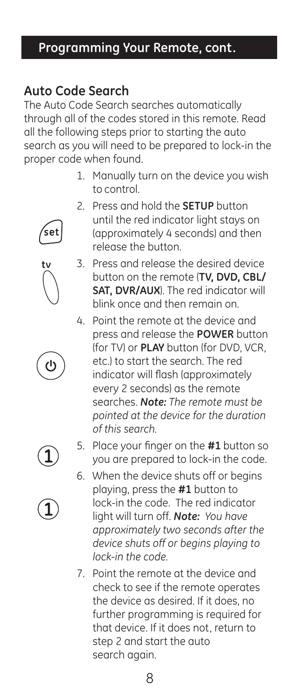## **Programming Your Remote, cont.**

## **Auto Code Search**

The Auto Code Search searches automatically through all of the codes stored in this remote. Read all the following steps prior to starting the auto search as you will need to be prepared to lock-in the proper code when found.

- 1. Manually turn on the device you wish to control.
- 2. Press and hold the **SETUP** button until the red indicator light stays on (approximately 4 seconds) and then release the button.
- 3. Press and release the desired device button on the remote (**TV, DVD, CBL/ SAT, DVR/AUX**). The red indicator will blink once and then remain on.
- 4. Point the remote at the device and press and release the **POWER** button (for TV) or **PLAY** button (for DVD, VCR, etc.) to start the search. The red indicator will flash (approximately every 2 seconds) as the remote searches. *Note: The remote must be pointed at the device for the duration of this search.*
- 

้set

- 
- 5. Place your finger on the **#1** button so you are prepared to lock-in the code.
- 6. When the device shuts off or begins playing, press the **#1** button to lock-in the code. The red indicator light will turn off. *Note: You have approximately two seconds after the device shuts off or begins playing to lock-in the code.*
- 7. Point the remote at the device and check to see if the remote operates the device as desired. If it does, no further programming is required for that device. If it does not, return to step 2 and start the auto search again.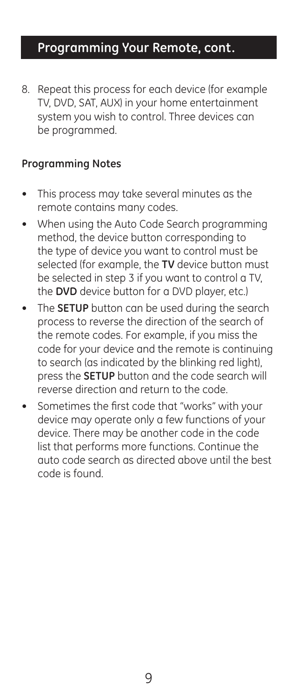## **Programming Your Remote, cont.**

8. Repeat this process for each device (for example TV, DVD, SAT, AUX) in your home entertainment system you wish to control. Three devices can be programmed.

### **Programming Notes**

- This process may take several minutes as the remote contains many codes.
- When using the Auto Code Search programming method, the device button corresponding to the type of device you want to control must be selected (for example, the **TV** device button must be selected in step 3 if you want to control a TV, the **DVD** device button for a DVD player, etc.)
- The **SETUP** button can be used during the search process to reverse the direction of the search of the remote codes. For example, if you miss the code for your device and the remote is continuing to search (as indicated by the blinking red light), press the **SETUP** button and the code search will reverse direction and return to the code.
- Sometimes the first code that "works" with your device may operate only a few functions of your device. There may be another code in the code list that performs more functions. Continue the auto code search as directed above until the best code is found.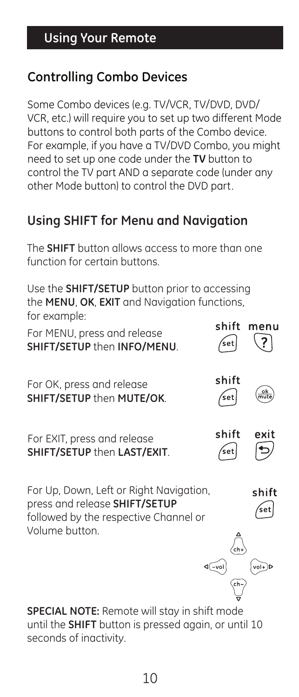## **Controlling Combo Devices**

Some Combo devices (e.g. TV/VCR, TV/DVD, DVD/ VCR, etc.) will require you to set up two different Mode buttons to control both parts of the Combo device. For example, if you have a TV/DVD Combo, you might need to set up one code under the **TV** button to control the TV part AND a separate code (under any other Mode button) to control the DVD part.

## **Using SHIFT for Menu and Navigation**

The **SHIFT** button allows access to more than one function for certain buttons.

Use the **SHIFT/SETUP** button prior to accessing the **MENU**, **OK**, **EXIT** and Navigation functions, for example:

| For MENU, press and release<br>SHIFT/SETUP then INFO/MENU.                                                        | shift<br>set  | menu         |
|-------------------------------------------------------------------------------------------------------------------|---------------|--------------|
| For OK, press and release<br>SHIFT/SETUP then MUTE/OK.                                                            | shift<br>'set |              |
| For EXIT, press and release<br>SHIFT/SETUP then LAST/EXIT.                                                        | shift<br>′set | exit         |
| For Up, Down, Left or Right Navigation,<br>press and release SHIFT/SETUP<br>followed by the respective Channel or |               | shift<br>set |





 $\begin{matrix}\n\langle ch_{+}\rangle \\
\langle ch_{+}\rangle\n\end{matrix}$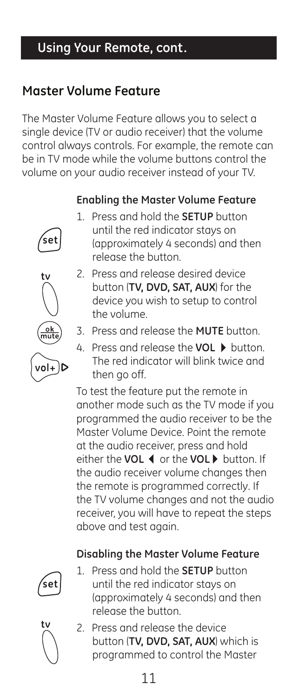## **Using Your Remote, cont.**

## **Master Volume Feature**

The Master Volume Feature allows you to select a single device (TV or audio receiver) that the volume control always controls. For example, the remote can be in TV mode while the volume buttons control the volume on your audio receiver instead of your TV.

## **Enabling the Master Volume Feature**





- 2. Press and release desired device button (**TV, DVD, SAT, AUX**) for the device you wish to setup to control the volume.
- 3. Press and release the **MUTE** button.
- 4. Press and release the **VOL** button. The red indicator will blink twice and then go off.

To test the feature put the remote in another mode such as the TV mode if you programmed the audio receiver to be the Master Volume Device. Point the remote at the audio receiver, press and hold either the **VOL** or the **VOL** button. If the audio receiver volume changes then the remote is programmed correctly. If the TV volume changes and not the audio receiver, you will have to repeat the steps above and test again.

## **Disabling the Master Volume Feature**



1. Press and hold the **SETUP** button until the red indicator stays on (approximately 4 seconds) and then release the button.



2. Press and release the device button (**TV, DVD, SAT, AUX**) which is programmed to control the Master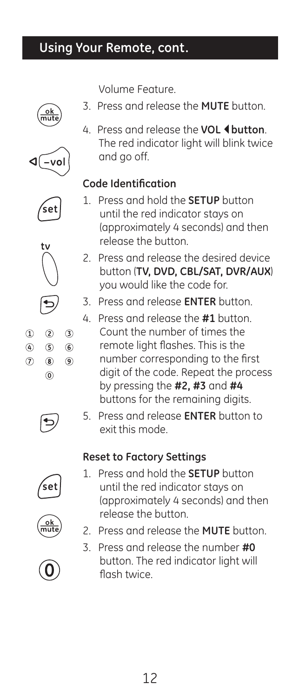## **Using Your Remote, cont.**

Volume Feature.

- 3. Press and release the **MUTE** button.
- 



4. Press and release the **VOL 4 button**. The red indicator light will blink twice and go off.

## **Code Identification**

- 1. Press and hold the **SETUP** button until the red indicator stays on (approximately 4 seconds) and then release the button.
- 2. Press and release the desired device button (**TV, DVD, CBL/SAT, DVR/AUX**) you would like the code for.
- 3. Press and release **ENTER** button.
- 4. Press and release the **#1** button.
	- Count the number of times the remote light flashes. This is the number corresponding to the first digit of the code. Repeat the process by pressing the **#2, #3** and **#4** buttons for the remaining digits.
- 5. Press and release **ENTER** button to exit this mode.

## **Reset to Factory Settings**

- 1. Press and hold the **SETUP** button until the red indicator stays on (approximately 4 seconds) and then release the button.
- 2. Press and release the **MUTE** button.
- 3. Press and release the number **#0** button. The red indicator light will flash twice.

 $\circled{1}$  $^{\circ}$ 

 $(7)$  $(8)$  $\circledcirc$  $\circledcirc$ 

 $(2)$  $(3)$ 

 $\circledS$  $<sup>6</sup>$ </sup>





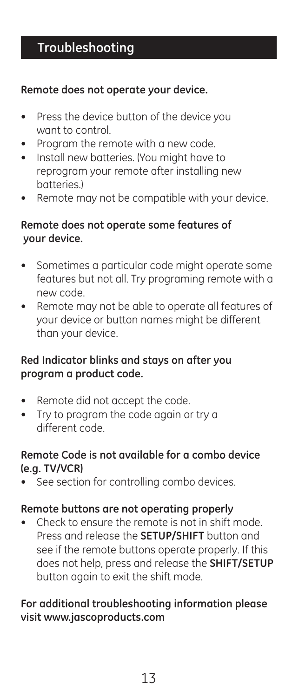### **Remote does not operate your device.**

- Press the device button of the device you want to control.
- Program the remote with a new code.
- Install new batteries. (You might have to reprogram your remote after installing new batteries.)
- Remote may not be compatible with your device.

### **Remote does not operate some features of your device.**

- Sometimes a particular code might operate some features but not all. Try programing remote with a new code.
- Remote may not be able to operate all features of your device or button names might be different than your device.

## **Red Indicator blinks and stays on after you program a product code.**

- Remote did not accept the code.
- Try to program the code again or try a different code.

### **Remote Code is not available for a combo device (e.g. TV/VCR)**

See section for controlling combo devices.

### **Remote buttons are not operating properly**

Check to ensure the remote is not in shift mode. Press and release the **SETUP/SHIFT** button and see if the remote buttons operate properly. If this does not help, press and release the **SHIFT/SETUP** button again to exit the shift mode.

## **For additional troubleshooting information please visit www.jascoproducts.com**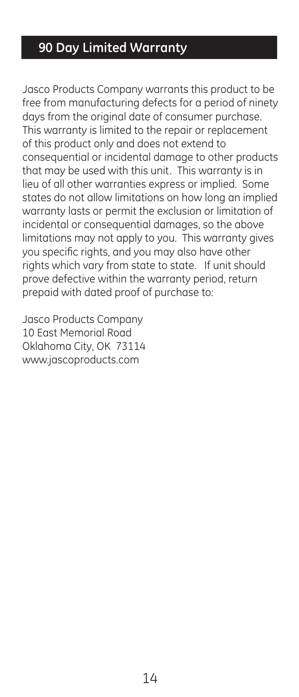## **90 Day Limited Warranty**

Jasco Products Company warrants this product to be free from manufacturing defects for a period of ninety days from the original date of consumer purchase. This warranty is limited to the repair or replacement of this product only and does not extend to consequential or incidental damage to other products that may be used with this unit. This warranty is in lieu of all other warranties express or implied. Some states do not allow limitations on how long an implied warranty lasts or permit the exclusion or limitation of incidental or consequential damages, so the above limitations may not apply to you. This warranty gives you specific rights, and you may also have other rights which vary from state to state. If unit should prove defective within the warranty period, return prepaid with dated proof of purchase to:

Jasco Products Company 10 East Memorial Road Oklahoma City, OK 73114 www.jascoproducts.com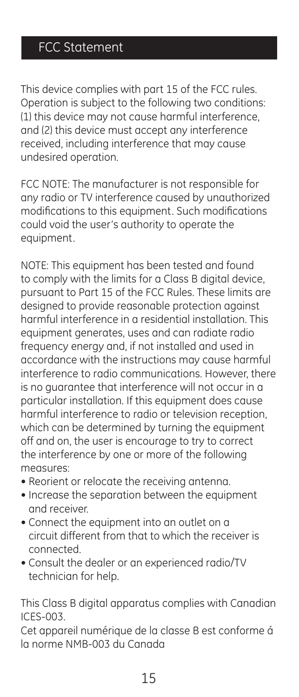This device complies with part 15 of the FCC rules. Operation is subject to the following two conditions: (1) this device may not cause harmful interference, and (2) this device must accept any interference received, including interference that may cause undesired operation.

FCC NOTE: The manufacturer is not responsible for any radio or TV interference caused by unauthorized modifications to this equipment. Such modifications could void the user's authority to operate the equipment.

NOTE: This equipment has been tested and found to comply with the limits for a Class B digital device, pursuant to Part 15 of the FCC Rules. These limits are designed to provide reasonable protection against harmful interference in a residential installation. This equipment generates, uses and can radiate radio frequency energy and, if not installed and used in accordance with the instructions may cause harmful interference to radio communications. However, there is no guarantee that interference will not occur in a particular installation. If this equipment does cause harmful interference to radio or television reception, which can be determined by turning the equipment off and on, the user is encourage to try to correct the interference by one or more of the following measures:

- Reorient or relocate the receiving antenna.
- Increase the separation between the equipment and receiver.
- Connect the equipment into an outlet on a circuit different from that to which the receiver is connected.
- Consult the dealer or an experienced radio/TV technician for help.

This Class B digital apparatus complies with Canadian ICES-003.

Cet appareil numérique de la classe B est conforme á la norme NMB-003 du Canada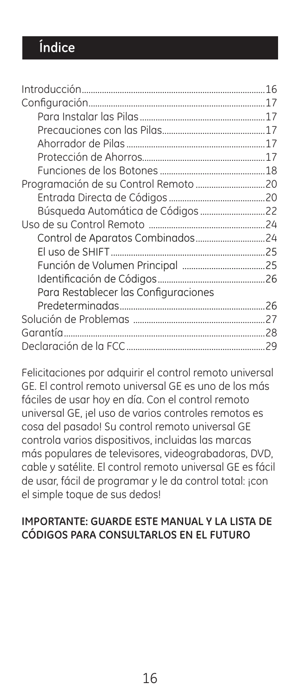|                                      | 16 |
|--------------------------------------|----|
|                                      |    |
|                                      |    |
|                                      |    |
|                                      |    |
|                                      |    |
|                                      |    |
|                                      |    |
|                                      |    |
|                                      |    |
|                                      |    |
|                                      |    |
|                                      |    |
|                                      |    |
|                                      |    |
| Para Restablecer las Configuraciones |    |
|                                      |    |
|                                      |    |
|                                      |    |
|                                      |    |
|                                      |    |

Felicitaciones por adquirir el control remoto universal GE. El control remoto universal GE es uno de los más fáciles de usar hoy en día. Con el control remoto universal GE, ¡el uso de varios controles remotos es cosa del pasado! Su control remoto universal GE controla varios dispositivos, incluidas las marcas más populares de televisores, videograbadoras, DVD, cable y satélite. El control remoto universal GE es fácil de usar, fácil de programar y le da control total: ¡con el simple toque de sus dedos!

### **IMPORTANTE: GUARDE ESTE MANUAL Y LA LISTA DE CÓDIGOS PARA CONSULTARLOS EN EL FUTURO**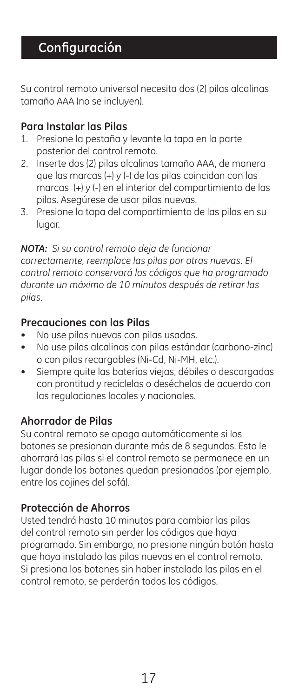Su control remoto universal necesita dos (2) pilas alcalinas tamaño AAA (no se incluyen).

### **Para Instalar las Pilas**

- 1. Presione la pestaña y levante la tapa en la parte posterior del control remoto.
- 2. Inserte dos (2) pilas alcalinas tamaño AAA, de manera que las marcas (+) y (-) de las pilas coincidan con las marcas (+) y (-) en el interior del compartimiento de las pilas. Asegúrese de usar pilas nuevas.
- 3. Presione la tapa del compartimiento de las pilas en su lugar.

### *NOTA: Si su control remoto deja de funcionar*

*correctamente, reemplace las pilas por otras nuevas. El control remoto conservará los códigos que ha programado durante un máximo de 10 minutos después de retirar las pilas.*

## **Precauciones con las Pilas**

- No use pilas nuevas con pilas usadas.
- No use pilas alcalinas con pilas estándar (carbono-zinc) o con pilas recargables (Ni-Cd, Ni-MH, etc.).
- Siempre quite las baterías viejas, débiles o descargadas con prontitud y recíclelas o deséchelas de acuerdo con las regulaciones locales y nacionales.

### **Ahorrador de Pilas**

Su control remoto se apaga automáticamente si los botones se presionan durante más de 8 segundos. Esto le ahorrará las pilas si el control remoto se permanece en un lugar donde los botones quedan presionados (por ejemplo, entre los cojines del sofá).

### **Protección de Ahorros**

Usted tendrá hasta 10 minutos para cambiar las pilas del control remoto sin perder los códigos que haya programado. Sin embargo, no presione ningún botón hasta que haya instalado las pilas nuevas en el control remoto. Si presiona los botones sin haber instalado las pilas en el control remoto, se perderán todos los códigos.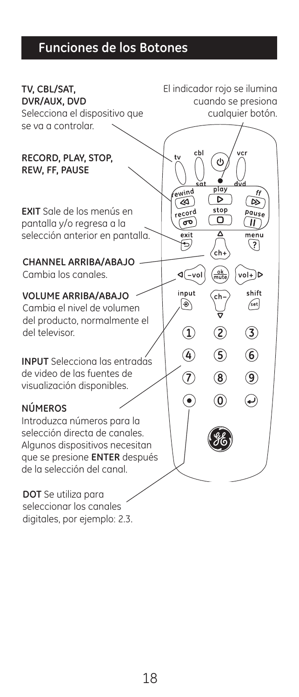# **Funciones de los Botones**

| TV, CBL/SAT,<br>DVR/AUX, DVD<br>Selecciona el dispositivo que                                                   | El indicador rojo se ilumina |                               | cuando se presiona<br>cualquier botón. |  |
|-----------------------------------------------------------------------------------------------------------------|------------------------------|-------------------------------|----------------------------------------|--|
| se va a controlar.<br>RECORD, PLAY, STOP,                                                                       | cbl                          | Φ                             | vcr                                    |  |
| REW, FF, PAUSE                                                                                                  | sāt<br>fewind<br>«           | play<br>⊳                     | ff<br>▷                                |  |
| <b>EXIT</b> Sale de los menús en<br>pantalla y/o regresa a la<br>selección anterior en pantalla.                | record<br>ത<br>exit          | stop<br>о<br>Δ                | Pause<br>"<br>menu<br>$\overline{?}$   |  |
| <b>CHANNEL ARRIBA/ABAJO</b><br>Cambia los canales.                                                              | ⊲(–vol                       | .<br>ch+<br>$\frac{ok}{mute}$ | $vol + D$                              |  |
| <b>VOLUME ARRIBA/ABAJO</b><br>Cambia el nivel de volumen<br>del producto, normalmente el                        | input<br>◈                   | ch                            | shift<br>/set                          |  |
| del televisor.                                                                                                  | $\widehat{\mathbf{1}}$<br>Ð  | T<br>5                        | 3<br>$\circledast$                     |  |
| <b>INPUT</b> Selecciona las entradas<br>de video de las fuentes de<br>visualización disponibles.                | T                            | $\circledR$                   | $^\circledR$                           |  |
| <b>NÚMEROS</b><br>Introduzca números para la<br>selección directa de canales.<br>Algunos dispositivos necesitan | Ó                            | ⊙                             | ₽                                      |  |
| que se presione <b>ENTER</b> después<br>de la selección del canal.                                              |                              |                               |                                        |  |
| <b>DOT</b> Se utiliza para<br>seleccionar los canales                                                           |                              |                               |                                        |  |

digitales, por ejemplo: 2.3.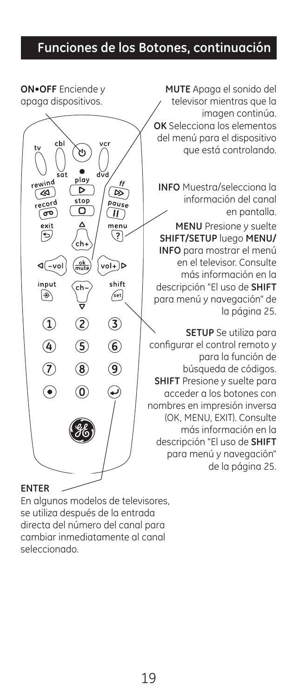## **Funciones de los Botones, continuación**

**ON•OFF** Enciende y apaga dispositivos.



**MUTE** Apaga el sonido del televisor mientras que la imagen continúa. **OK** Selecciona los elementos del menú para el dispositivo que está controlando.

**INFO** Muestra/selecciona la información del canal en pantalla. **MENU** Presione y suelte **SHIFT/SETUP** luego **MENU/ INFO** para mostrar el menú en el televisor. Consulte más información en la descripción "El uso de **SHIFT** para menú y navegación" de la página 25.

**SETUP** Se utiliza para configurar el control remoto y para la función de búsqueda de códigos. **SHIFT** Presione y suelte para acceder a los botones con nombres en impresión inversa (OK, MENU, EXIT). Consulte más información en la descripción "El uso de **SHIFT** para menú y navegación" de la página 25.

### **ENTER**

En algunos modelos de televisores, se utiliza después de la entrada directa del número del canal para cambiar inmediatamente al canal seleccionado.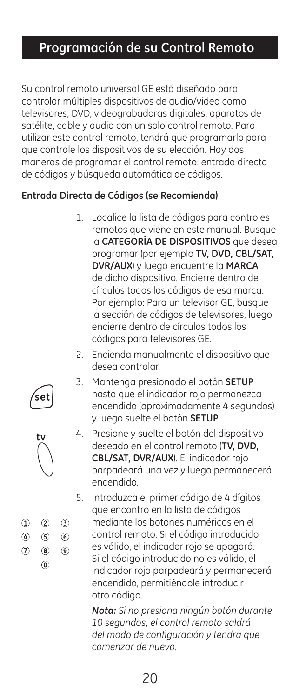## **Programación de su Control Remoto**

Su control remoto universal GE está diseñado para controlar múltiples dispositivos de audio/video como televisores, DVD, videograbadoras digitales, aparatos de satélite, cable y audio con un solo control remoto. Para utilizar este control remoto, tendrá que programarlo para que controle los dispositivos de su elección. Hay dos maneras de programar el control remoto: entrada directa de códigos y búsqueda automática de códigos.

### **Entrada Directa de Códigos (se Recomienda)**

- 1. Localice la lista de códigos para controles remotos que viene en este manual. Busque la **CATEGORÍA DE DISPOSITIVOS** que desea programar (por ejemplo **TV, DVD, CBL/SAT, DVR/AUX**) y luego encuentre la **MARCA** de dicho dispositivo. Encierre dentro de círculos todos los códigos de esa marca. Por ejemplo: Para un televisor GE, busque la sección de códigos de televisores, luego encierre dentro de círculos todos los códigos para televisores GE.
- 2. Encienda manualmente el dispositivo que desea controlar.
- 3. Mantenga presionado el botón **SETUP** hasta que el indicador rojo permanezca encendido (aproximadamente 4 segundos) y luego suelte el botón **SETUP**.
- 4. Presione y suelte el botón del dispositivo deseado en el control remoto (**TV, DVD, CBL/SAT, DVR/AUX**). El indicador rojo parpadeará una vez y luego permanecerá encendido.

5. Introduzca el primer código de 4 dígitos que encontró en la lista de códigos mediante los botones numéricos en el control remoto. Si el código introducido es válido, el indicador rojo se apagará. Si el código introducido no es válido, el indicador rojo parpadeará y permanecerá encendido, permitiéndole introducir otro código.

*Nota: Si no presiona ningún botón durante 10 segundos, el control remoto saldrá del modo de configuración y tendrá que comenzar de nuevo.*

20





 $(2)$  $(3)$ 

 $\circ$  $\circledcirc$ 

 $(8)$  $(9)$  $\circledcirc$ 

 $^{\circ}$  $\overline{a}$  $\circledR$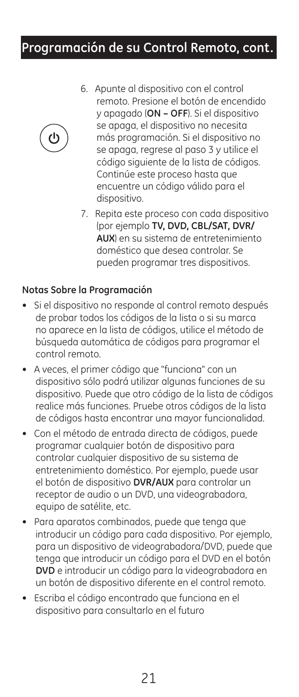## **Programación de su Control Remoto, cont.**



- 6. Apunte al dispositivo con el control remoto. Presione el botón de encendido y apagado (**ON – OFF**). Si el dispositivo se apaga, el dispositivo no necesita más programación. Si el dispositivo no se apaga, regrese al paso 3 y utilice el código siguiente de la lista de códigos. Continúe este proceso hasta que encuentre un código válido para el dispositivo.
- 7. Repita este proceso con cada dispositivo (por ejemplo **TV, DVD, CBL/SAT, DVR/ AUX**) en su sistema de entretenimiento doméstico que desea controlar. Se pueden programar tres dispositivos.

#### **Notas Sobre la Programación**

- Si el dispositivo no responde al control remoto después de probar todos los códigos de la lista o si su marca no aparece en la lista de códigos, utilice el método de búsqueda automática de códigos para programar el control remoto.
- A veces, el primer código que "funciona" con un dispositivo sólo podrá utilizar algunas funciones de su dispositivo. Puede que otro código de la lista de códigos realice más funciones. Pruebe otros códigos de la lista de códigos hasta encontrar una mayor funcionalidad.
- Con el método de entrada directa de códigos, puede programar cualquier botón de dispositivo para controlar cualquier dispositivo de su sistema de entretenimiento doméstico. Por ejemplo, puede usar el botón de dispositivo **DVR/AUX** para controlar un receptor de audio o un DVD, una videograbadora, equipo de satélite, etc.
- Para aparatos combinados, puede que tenga que introducir un código para cada dispositivo. Por ejemplo, para un dispositivo de videograbadora/DVD, puede que tenga que introducir un código para el DVD en el botón **DVD** e introducir un código para la videograbadora en un botón de dispositivo diferente en el control remoto.
- Escriba el código encontrado que funciona en el dispositivo para consultarlo en el futuro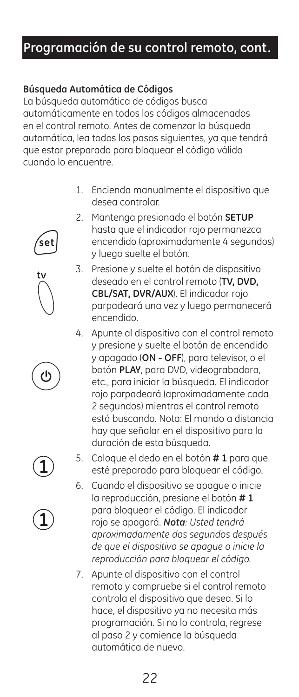## **Programación de su control remoto, cont.**

### **Búsqueda Automática de Códigos**

.<br>set

La búsqueda automática de códigos busca automáticamente en todos los códigos almacenados en el control remoto. Antes de comenzar la búsqueda automática, lea todos los pasos siguientes, ya que tendrá que estar preparado para bloquear el código válido cuando lo encuentre.

- 1. Encienda manualmente el dispositivo que desea controlar.
- 2. Mantenga presionado el botón **SETUP** hasta que el indicador rojo permanezca encendido (aproximadamente 4 segundos) y luego suelte el botón.
- 3. Presione y suelte el botón de dispositivo deseado en el control remoto (**TV, DVD, CBL/SAT, DVR/AUX**). El indicador rojo parpadeará una vez y luego permanecerá encendido.
- 4. Apunte al dispositivo con el control remoto y presione y suelte el botón de encendido y apagado (**ON - OFF**), para televisor, o el botón **PLAY**, para DVD, videograbadora, etc., para iniciar la búsqueda. El indicador rojo parpadeará (aproximadamente cada 2 segundos) mientras el control remoto está buscando. Nota: El mando a distancia hay que señalar en el dispositivo para la duración de esta búsqueda.



- 6. Cuando el dispositivo se apague o inicie la reproducción, presione el botón **# 1** para bloquear el código. El indicador rojo se apagará. *Nota: Usted tendrá aproximadamente dos segundos después de que el dispositivo se apague o inicie la reproducción para bloquear el código.*
- 7. Apunte al dispositivo con el control remoto y compruebe si el control remoto controla el dispositivo que desea. Si lo hace, el dispositivo ya no necesita más programación. Si no lo controla, regrese al paso 2 y comience la búsqueda automática de nuevo.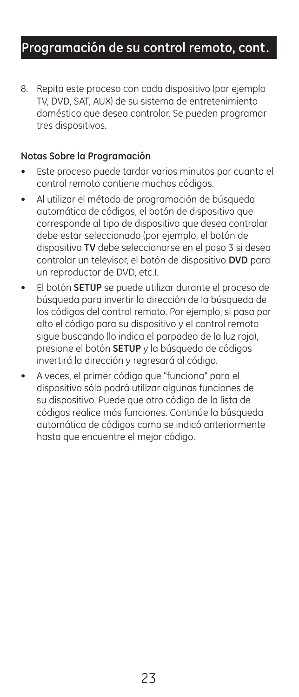## **Programación de su control remoto, cont.**

8. Repita este proceso con cada dispositivo (por ejemplo TV, DVD, SAT, AUX) de su sistema de entretenimiento doméstico que desea controlar. Se pueden programar tres dispositivos.

#### **Notas Sobre la Programación**

- Este proceso puede tardar varios minutos por cuanto el control remoto contiene muchos códigos.
- Al utilizar el método de programación de búsqueda automática de códigos, el botón de dispositivo que corresponde al tipo de dispositivo que desea controlar debe estar seleccionado (por ejemplo, el botón de dispositivo **TV** debe seleccionarse en el paso 3 si desea controlar un televisor, el botón de dispositivo **DVD** para un reproductor de DVD, etc.).
- El botón **SETUP** se puede utilizar durante el proceso de búsqueda para invertir la dirección de la búsqueda de los códigos del control remoto. Por ejemplo, si pasa por alto el código para su dispositivo y el control remoto sigue buscando (lo indica el parpadeo de la luz roja), presione el botón **SETUP** y la búsqueda de códigos invertirá la dirección y regresará al código.
- A veces, el primer código que "funciona" para el dispositivo sólo podrá utilizar algunas funciones de su dispositivo. Puede que otro código de la lista de códigos realice más funciones. Continúe la búsqueda automática de códigos como se indicó anteriormente hasta que encuentre el mejor código.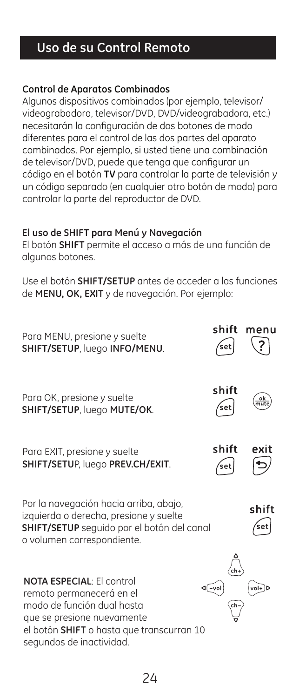## **Uso de su Control Remoto**

#### **Control de Aparatos Combinados**

Algunos dispositivos combinados (por ejemplo, televisor/ videograbadora, televisor/DVD, DVD/videograbadora, etc.) necesitarán la configuración de dos botones de modo diferentes para el control de las dos partes del aparato combinados. Por ejemplo, si usted tiene una combinación de televisor/DVD, puede que tenga que configurar un código en el botón **TV** para controlar la parte de televisión y un código separado (en cualquier otro botón de modo) para controlar la parte del reproductor de DVD.

#### **El uso de SHIFT para Menú y Navegación**

El botón **SHIFT** permite el acceso a más de una función de algunos botones.

Use el botón **SHIFT/SETUP** antes de acceder a las funciones de **MENU, OK, EXIT** y de navegación. Por ejemplo:

| Para MENU, presione y suelte<br>SHIFT/SETUP, luego INFO/MENU.                                                                                                                                     | shift<br>.<br>set | menu         |
|---------------------------------------------------------------------------------------------------------------------------------------------------------------------------------------------------|-------------------|--------------|
| Para OK, presione y suelte<br>SHIFT/SETUP, luego MUTE/OK.                                                                                                                                         | shift<br>.<br>set |              |
| Para EXIT, presione y suelte<br>SHIFT/SETUP, luego PREV.CH/EXIT.                                                                                                                                  | shift<br>′set     | exit         |
| Por la navegación hacia arriba, abajo,<br>izquierda o derecha, presione y suelte<br>SHIFT/SETUP seguido por el botón del canal<br>o volumen correspondiente.                                      |                   | shift<br>sei |
| <b>NOTA ESPECIAL: El control</b><br>remoto permanecerá en el<br>modo de función dual hasta<br>que se presione nuevamente<br>el botón SHIFT o hasta que transcurran 10<br>segundos de inactividad. |                   |              |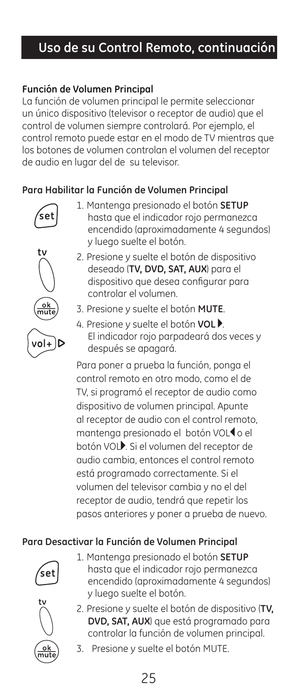## **Uso de su Control Remoto, continuación**

#### **Función de Volumen Principal**

La función de volumen principal le permite seleccionar un único dispositivo (televisor o receptor de audio) que el control de volumen siempre controlará. Por ejemplo, el control remoto puede estar en el modo de TV mientras que los botones de volumen controlan el volumen del receptor de audio en lugar del de su televisor.

#### **Para Habilitar la Función de Volumen Principal**



1. Mantenga presionado el botón **SETUP** hasta que el indicador rojo permanezca encendido (aproximadamente 4 segundos) y luego suelte el botón.



- 2. Presione y suelte el botón de dispositivo deseado (**TV, DVD, SAT, AUX**) para el dispositivo que desea configurar para controlar el volumen.
- 3. Presione y suelte el botón **MUTE**.
- 4. Presione y suelte el botón **VOL** . El indicador rojo parpadeará dos veces y después se apagará.

Para poner a prueba la función, ponga el control remoto en otro modo, como el de TV, si programó el receptor de audio como dispositivo de volumen principal. Apunte al receptor de audio con el control remoto, mantenga presionado el botón VOL<sup>1</sup> o el botón VOL<sup>.</sup> Si el volumen del receptor de audio cambia, entonces el control remoto está programado correctamente. Si el volumen del televisor cambia y no el del receptor de audio, tendrá que repetir los pasos anteriores y poner a prueba de nuevo.

### **Para Desactivar la Función de Volumen Principal**



1. Mantenga presionado el botón **SETUP** hasta que el indicador rojo permanezca encendido (aproximadamente 4 segundos) y luego suelte el botón.



- 2. Presione y suelte el botón de dispositivo (**TV, DVD, SAT, AUX**) que está programado para controlar la función de volumen principal.
- 3. Presione y suelte el botón MUTE.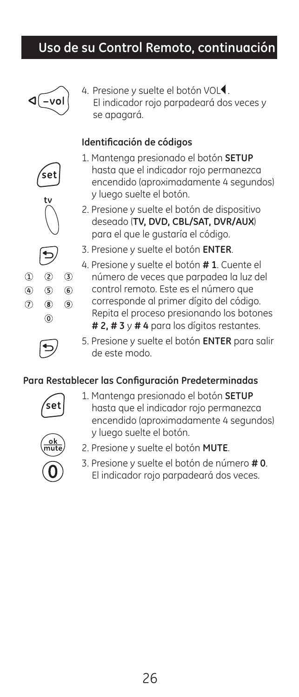## **Uso de su Control Remoto, continuación**



set

4. Presione y suelte el botón VOL<sup>4</sup>. El indicador rojo parpadeará dos veces y se apagará.

### **Identificación de códigos**



- 2. Presione y suelte el botón de dispositivo deseado (**TV, DVD, CBL/SAT, DVR/AUX**) para el que le gustaría el código.
- 3. Presione y suelte el botón **ENTER**.
- 4. Presione y suelte el botón **# 1**. Cuente el número de veces que parpadea la luz del control remoto. Este es el número que corresponde al primer dígito del código. Repita el proceso presionando los botones **# 2, # 3** y **# 4** para los dígitos restantes.

 $\circledcirc$ 

 $\Omega$ 

 $\circledA$  $\circledS$ 

 $\circledR$  $(8)$ 

> 5. Presione y suelte el botón **ENTER** para salir de este modo.

#### **Para Restablecer las Configuración Predeterminadas**



1. Mantenga presionado el botón **SETUP** hasta que el indicador rojo permanezca encendido (aproximadamente 4 segundos) y luego suelte el botón.



- 2. Presione y suelte el botón **MUTE**.
- 3. Presione y suelte el botón de número **# 0**. El indicador rojo parpadeará dos veces.



 $(3)$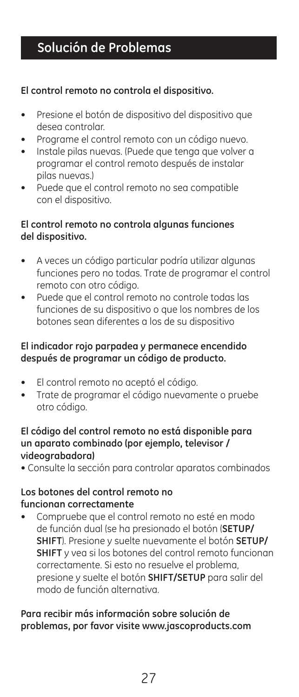## **Solución de Problemas**

#### **El control remoto no controla el dispositivo.**

- Presione el botón de dispositivo del dispositivo que desea controlar.
- Programe el control remoto con un código nuevo.
- Instale pilas nuevas. (Puede que tenga que volver a programar el control remoto después de instalar pilas nuevas.)
- Puede que el control remoto no sea compatible con el dispositivo.

#### **El control remoto no controla algunas funciones del dispositivo.**

- A veces un código particular podría utilizar algunas funciones pero no todas. Trate de programar el control remoto con otro código.
- Puede que el control remoto no controle todas las funciones de su dispositivo o que los nombres de los botones sean diferentes a los de su dispositivo

### **El indicador rojo parpadea y permanece encendido después de programar un código de producto.**

- El control remoto no aceptó el código.
- Trate de programar el código nuevamente o pruebe otro código.

#### **El código del control remoto no está disponible para un aparato combinado (por ejemplo, televisor / videograbadora)**

• Consulte la sección para controlar aparatos combinados

#### **Los botones del control remoto no funcionan correctamente**

• Compruebe que el control remoto no esté en modo de función dual (se ha presionado el botón (**SETUP/ SHIFT**). Presione y suelte nuevamente el botón **SETUP/ SHIFT** y vea si los botones del control remoto funcionan correctamente. Si esto no resuelve el problema, presione y suelte el botón **SHIFT/SETUP** para salir del modo de función alternativa.

**Para recibir más información sobre solución de problemas, por favor visite www.jascoproducts.com**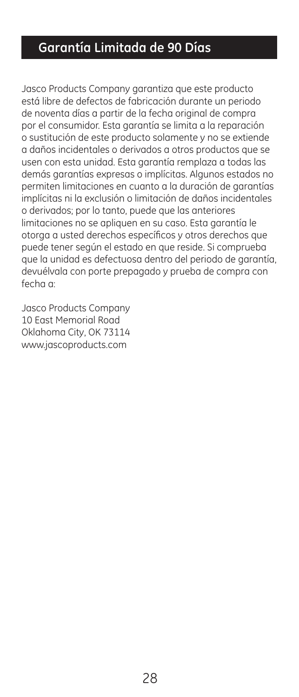## **Garantía Limitada de 90 Días**

Jasco Products Company garantiza que este producto está libre de defectos de fabricación durante un periodo de noventa días a partir de la fecha original de compra por el consumidor. Esta garantía se limita a la reparación o sustitución de este producto solamente y no se extiende a daños incidentales o derivados a otros productos que se usen con esta unidad. Esta garantía remplaza a todas las demás garantías expresas o implícitas. Algunos estados no permiten limitaciones en cuanto a la duración de garantías implícitas ni la exclusión o limitación de daños incidentales o derivados; por lo tanto, puede que las anteriores limitaciones no se apliquen en su caso. Esta garantía le otorga a usted derechos específicos y otros derechos que puede tener según el estado en que reside. Si comprueba que la unidad es defectuosa dentro del periodo de garantía, devuélvala con porte prepagado y prueba de compra con fecha a:

Jasco Products Company 10 East Memorial Road Oklahoma City, OK 73114 www.jascoproducts.com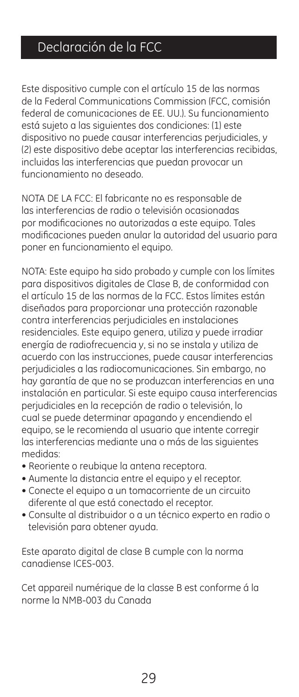## Declaración de la FCC

Este dispositivo cumple con el artículo 15 de las normas de la Federal Communications Commission (FCC, comisión federal de comunicaciones de EE. UU.). Su funcionamiento está sujeto a las siguientes dos condiciones: (1) este dispositivo no puede causar interferencias perjudiciales, y (2) este dispositivo debe aceptar las interferencias recibidas, incluidas las interferencias que puedan provocar un funcionamiento no deseado.

NOTA DE LA FCC: El fabricante no es responsable de las interferencias de radio o televisión ocasionadas por modificaciones no autorizadas a este equipo. Tales modificaciones pueden anular la autoridad del usuario para poner en funcionamiento el equipo.

NOTA: Este equipo ha sido probado y cumple con los límites para dispositivos digitales de Clase B, de conformidad con el artículo 15 de las normas de la FCC. Estos límites están diseñados para proporcionar una protección razonable contra interferencias perjudiciales en instalaciones residenciales. Este equipo genera, utiliza y puede irradiar energía de radiofrecuencia y, si no se instala y utiliza de acuerdo con las instrucciones, puede causar interferencias perjudiciales a las radiocomunicaciones. Sin embargo, no hay garantía de que no se produzcan interferencias en una instalación en particular. Si este equipo causa interferencias perjudiciales en la recepción de radio o televisión, lo cual se puede determinar apagando y encendiendo el equipo, se le recomienda al usuario que intente corregir las interferencias mediante una o más de las siguientes medidas:

- Reoriente o reubique la antena receptora.
- Aumente la distancia entre el equipo y el receptor.
- Conecte el equipo a un tomacorriente de un circuito diferente al que está conectado el receptor.
- Consulte al distribuidor o a un técnico experto en radio o televisión para obtener ayuda.

Este aparato digital de clase B cumple con la norma canadiense ICES-003.

Cet appareil numérique de la classe B est conforme á la norme la NMB-003 du Canada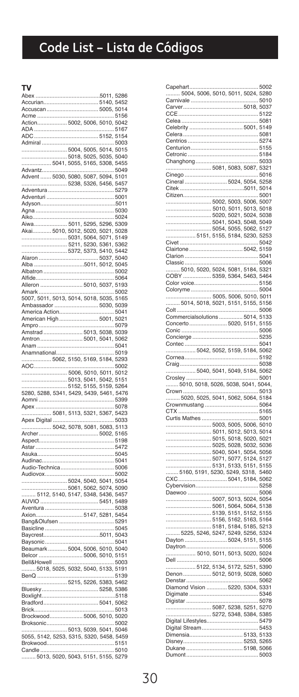# Code List - Lista de Códigos

#### **TV**

| Abex                                     |  |                                                  |       |
|------------------------------------------|--|--------------------------------------------------|-------|
|                                          |  |                                                  |       |
|                                          |  |                                                  |       |
|                                          |  |                                                  |       |
|                                          |  |                                                  |       |
|                                          |  |                                                  |       |
|                                          |  |                                                  |       |
|                                          |  |                                                  |       |
|                                          |  |                                                  |       |
|                                          |  |                                                  |       |
|                                          |  |                                                  |       |
| 5238, 5326, 5456, 5457                   |  |                                                  |       |
| Adventura                                |  | 5279                                             |       |
|                                          |  |                                                  |       |
|                                          |  |                                                  |       |
|                                          |  |                                                  | .5024 |
|                                          |  |                                                  |       |
|                                          |  |                                                  |       |
| 5031, 5064, 5071, 5149                   |  |                                                  |       |
|                                          |  | 5211, 5230, 5361, 5362<br>5372, 5373, 5410, 5442 |       |
|                                          |  |                                                  |       |
| 5011, 5012, 5045<br>Alba                 |  |                                                  |       |
|                                          |  |                                                  |       |
| Alfide                                   |  |                                                  | .5064 |
| Alleron  5010, 5037, 5193                |  |                                                  |       |
|                                          |  |                                                  |       |
| Ambassador  5030, 5039                   |  |                                                  |       |
|                                          |  |                                                  |       |
|                                          |  |                                                  |       |
|                                          |  |                                                  |       |
|                                          |  |                                                  |       |
|                                          |  |                                                  |       |
|                                          |  |                                                  |       |
|                                          |  |                                                  |       |
| AOC                                      |  |                                                  | 5002  |
|                                          |  |                                                  |       |
|                                          |  |                                                  |       |
|                                          |  |                                                  |       |
|                                          |  |                                                  |       |
| Aomni                                    |  | 5399                                             |       |
| Apex                                     |  | .                                                | 5078  |
|                                          |  |                                                  |       |
|                                          |  |                                                  |       |
| 5042, 5078, 5081, 5083, 5113             |  |                                                  |       |
|                                          |  |                                                  | .5198 |
|                                          |  | . 5472                                           |       |
|                                          |  |                                                  | 5045  |
|                                          |  |                                                  |       |
|                                          |  |                                                  |       |
|                                          |  |                                                  |       |
|                                          |  |                                                  |       |
|                                          |  |                                                  |       |
|                                          |  |                                                  |       |
|                                          |  |                                                  |       |
|                                          |  |                                                  |       |
|                                          |  |                                                  |       |
|                                          |  |                                                  |       |
|                                          |  |                                                  |       |
| Belcor                                   |  |                                                  |       |
|                                          |  | 5006, 5010, 5151                                 |       |
|                                          |  |                                                  |       |
| BenQ                                     |  |                                                  | 5139  |
| 5215, 5226, 5383, 5462                   |  |                                                  |       |
|                                          |  |                                                  |       |
|                                          |  |                                                  |       |
|                                          |  |                                                  |       |
|                                          |  |                                                  |       |
|                                          |  |                                                  |       |
|                                          |  |                                                  |       |
|                                          |  |                                                  |       |
| Candle<br>.5013.5020.5043.5151.5155.5279 |  | 5010                                             |       |

| Capehart.                                                          | 5002  |
|--------------------------------------------------------------------|-------|
| 5004, 5006, 5010, 5011, 5024, 5280                                 |       |
|                                                                    |       |
|                                                                    | .5010 |
| r                                                                  |       |
|                                                                    |       |
|                                                                    | 5081  |
|                                                                    |       |
| Celebrity  5001, 5149                                              |       |
|                                                                    |       |
|                                                                    |       |
|                                                                    |       |
| Ó                                                                  |       |
|                                                                    |       |
| Changhong<br>.<br>.                                                | .5033 |
| 5081, 5083, 5087, 5321                                             |       |
|                                                                    |       |
| Cinego<br>ä,                                                       | .5016 |
| Cineral  5024, 5054, 5258                                          |       |
| 5011, 5014                                                         |       |
|                                                                    |       |
|                                                                    |       |
| 5002, 5003, 5006, 5007                                             |       |
| 5010, 5011, 5013, 5018                                             |       |
|                                                                    |       |
|                                                                    |       |
|                                                                    |       |
|                                                                    |       |
|                                                                    |       |
|                                                                    |       |
|                                                                    |       |
| Clairtone  5042, 5159                                              |       |
|                                                                    |       |
|                                                                    |       |
|                                                                    |       |
| 5010, 5020, 5024, 5081, 5184, 5321<br>COBY  5359, 5364, 5463, 5464 |       |
|                                                                    |       |
| ť                                                                  |       |
|                                                                    |       |
| Coloryme                                                           | .5004 |
|                                                                    |       |
| 5014, 5018, 5021, 5151, 5155, 5156                                 |       |
|                                                                    |       |
| <b>Colt</b>                                                        | 5006  |
| Commercialsolutions  5014, 5133                                    |       |
| Concerto 5020, 5151, 5155                                          |       |
|                                                                    |       |
|                                                                    |       |
|                                                                    |       |
|                                                                    |       |
|                                                                    |       |
|                                                                    |       |
| . 5192<br>Comea                                                    |       |
| Craig                                                              |       |
|                                                                    |       |
|                                                                    |       |
| 5040, 5041, 5049, 5184, 5062                                       |       |
| Crosley                                                            | .5001 |
| 5010, 5018, 5026, 5038, 5041, 5044,                                |       |
|                                                                    |       |
|                                                                    |       |
| 5020, 5025, 5041, 5062, 5064, 5184                                 |       |
| Crownmustang 5064                                                  |       |
|                                                                    |       |
| CTX<br>5165                                                        |       |
|                                                                    |       |
| 5003, 5005, 5006, 5010                                             |       |
| 5011, 5012, 5013, 5014                                             |       |
|                                                                    |       |
|                                                                    |       |
|                                                                    |       |
|                                                                    |       |
|                                                                    |       |
| 5071, 5077, 5124, 5127                                             |       |
|                                                                    |       |
|                                                                    |       |
|                                                                    |       |
|                                                                    |       |
|                                                                    |       |
|                                                                    |       |
| 5007, 5013, 5024, 5054                                             |       |
|                                                                    |       |
| 5061, 5064, 5064, 5138<br>5139, 5151, 5152, 5155                   |       |
|                                                                    |       |
| 5156, 5162, 5163, 5164                                             |       |
|                                                                    |       |
| 5181, 5184, 5185, 5213<br>.5225, 5246, 5247, 5249, 5256, 5324      |       |
| Dayton  5024, 5151, 5155                                           |       |
| Daytron<br>.                                                       | .5006 |
|                                                                    |       |
| 5010, 5011, 5013, 5020, 5024                                       |       |
| Dell                                                               | 5006  |
| 5122, 5134, 5172, 5251, 5390                                       |       |
|                                                                    |       |
| Denon  5012, 5019, 5028, 5060                                      |       |
|                                                                    |       |
| Diamond Vision  5220, 5304, 5331                                   |       |
|                                                                    |       |
|                                                                    |       |
|                                                                    |       |
|                                                                    |       |
| 5087, 5238, 5251, 5270<br>5272, 5348, 5384, 5385                   |       |
| Digital Lifestyles 5479                                            |       |
|                                                                    |       |
|                                                                    | 5453  |
| Dimensia 5133, 5133                                                |       |
| r                                                                  |       |
| umont                                                              | 5003  |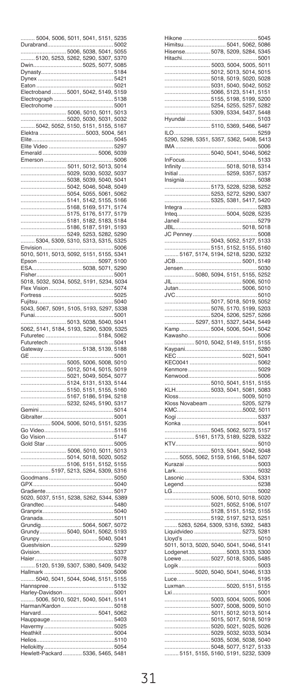| 5004, 5006, 5011, 5041,                                            |                     |                                                  | 5151, 5235                           |                |
|--------------------------------------------------------------------|---------------------|--------------------------------------------------|--------------------------------------|----------------|
| Durabrand                                                          |                     |                                                  |                                      | 5002           |
|                                                                    |                     | .5006, 5038, 5041, 5055                          |                                      |                |
| 5120, 5253, 5262, 5290, 5307, 5370                                 |                     |                                                  |                                      |                |
| <b>Dwin</b>                                                        |                     | 5025, 5077, 5085                                 |                                      |                |
| Dynasty.                                                           |                     |                                                  |                                      | 5184           |
| Dynex<br>Eaton                                                     |                     |                                                  |                                      | .5421<br>5021  |
| Electroband  5001, 5042, 5149, 5159                                |                     |                                                  |                                      |                |
| Electrograph                                                       |                     |                                                  |                                      | 5138           |
| Electrohome                                                        |                     |                                                  |                                      | 5001           |
|                                                                    |                     | 5006, 5010, 5011, 5013                           |                                      |                |
| 5020, 5030, 5031, 5032<br>5042, 5052, 5150, 5151, 5155, 5167       |                     |                                                  |                                      |                |
|                                                                    |                     |                                                  |                                      |                |
| Elektra<br>Elite.                                                  |                     |                                                  | .5003, 5004, 561                     | $$ 5045        |
| Elite Video                                                        |                     |                                                  |                                      | 5297           |
| merald<br>p                                                        |                     |                                                  | 5006, 5039                           |                |
| Emerson                                                            |                     |                                                  |                                      | 5006           |
|                                                                    |                     | 5011, 5012, 5013, 5014                           |                                      |                |
|                                                                    | 5029,               |                                                  | 5030, 5032,                          | 5037           |
|                                                                    | .<br>5038,<br>5042, |                                                  | 5039, 5040, 5041<br>5046, 5048, 5049 |                |
|                                                                    | 5054,               |                                                  | 5055, 5061, 5062                     |                |
|                                                                    |                     | 5141, 5142, 5155, 5166                           |                                      |                |
|                                                                    | .<br>5168,          |                                                  | 5169, 5171,                          | 5174           |
|                                                                    | 5175,               | 5176, 517                                        | 7,                                   | 5179           |
|                                                                    |                     | 5181, 5182, 5183, 5184                           |                                      |                |
|                                                                    | -<br>5186,<br>5249, | 5187,                                            | 5191,<br>5253, 5282, 5290            | 5193           |
| 5304, 5309, 5310, 5313, 5315, 5325                                 |                     |                                                  |                                      |                |
| nvision                                                            |                     |                                                  |                                      | 5006           |
| 5010, 5011, 5013, 5092, 5151, 5155, 5341                           |                     |                                                  |                                      |                |
| Epson                                                              |                     |                                                  | 5097, 5100                           |                |
| ESA                                                                |                     | 5038, 5071, 5290                                 |                                      |                |
| Fisher                                                             |                     |                                                  |                                      | 5001           |
| 5018, 5032, 5034, 5052, 5191, 5234, 5034<br>Flex                   |                     |                                                  |                                      | .5074          |
| Vision<br>Fortress.                                                |                     |                                                  |                                      | .5025          |
| Fuiltsu                                                            |                     |                                                  |                                      | 5040           |
| 5043, 5067, 5091, 5105, 5193, 5297, 5338                           |                     |                                                  |                                      |                |
| Funai                                                              |                     |                                                  |                                      | 5001           |
| 5013, 5038, 5040, 5041<br>5062, 5141, 5184, 5193, 5290, 5309, 5325 |                     |                                                  |                                      |                |
|                                                                    |                     |                                                  | 5184,                                | 5062           |
| Futuretec                                                          |                     |                                                  |                                      |                |
|                                                                    |                     |                                                  |                                      |                |
| Futuretech                                                         |                     |                                                  |                                      | 5041           |
| Gateway.<br>GE                                                     |                     | 5138, 5139, 5188                                 |                                      | 5001           |
|                                                                    |                     | 5005, 5006, 5008, 5010                           |                                      |                |
|                                                                    |                     | 5012, 5014, 5015, 5019                           |                                      |                |
|                                                                    |                     | 5021, 5049, 5054, 507                            |                                      | 7              |
|                                                                    |                     | 5124, 5131, 5133, 5144<br>5150, 5151, 5155, 5160 |                                      |                |
|                                                                    | 5167,               |                                                  | 5186, 5194,                          | 5218           |
|                                                                    |                     | 5232, 5245, 5190, 5317                           |                                      |                |
| Gemini                                                             |                     |                                                  |                                      | 5014           |
| <b>Sibralter</b>                                                   |                     |                                                  |                                      | .5001          |
| Video<br>Go                                                        |                     |                                                  |                                      | 5116           |
| Go Vision.                                                         |                     |                                                  |                                      | .5147          |
| Gold Star.                                                         |                     |                                                  |                                      | .5005          |
|                                                                    |                     | 5006, 5010, 5011, 5013                           |                                      |                |
|                                                                    |                     | 5014, 5018, 5020, 5052                           |                                      | 5155           |
| 5197                                                               |                     | 5106, 5151, 5152,<br>5213, 5264, 5309, 5316      |                                      |                |
| Goodmans                                                           |                     |                                                  |                                      | .5050          |
| GPX                                                                |                     |                                                  |                                      | 5040           |
| Gradiente                                                          |                     |                                                  |                                      | 5017           |
| 5020, 5037, 5151, 5238, 5262, 5344, 5389                           |                     |                                                  |                                      |                |
| Grandtec                                                           |                     |                                                  | 5480                                 |                |
| Granprix<br>Granada                                                |                     |                                                  |                                      | .5040<br>.5011 |
| Grundig 5064, 5067, 5072                                           |                     |                                                  |                                      |                |
| Grundy 5040, 5041, 5062, 5193                                      |                     |                                                  |                                      |                |
| Grunpy<br>Guestvision.                                             |                     |                                                  | 5040,                                | 5041<br>5299   |
| ť<br>Svision.                                                      |                     |                                                  |                                      | 5337           |
| laier.                                                             |                     |                                                  |                                      | 5078           |
| 5120, 5139, 5307, 5380, 5409, 5432                                 |                     |                                                  |                                      |                |
| Hallmark                                                           |                     |                                                  |                                      | 5006           |
| 5040, 5041, 5044, 5046, 5151, 5155<br>Hannspree.                   |                     |                                                  |                                      |                |
| Harley-Davidson 5001                                               |                     |                                                  |                                      |                |
| 5006, 5010, 5021, 5040, 5041, 5141                                 |                     |                                                  |                                      |                |
| Harman/Kardon                                                      |                     |                                                  |                                      | 5018           |
| larvard                                                            |                     |                                                  | 5041, 5062                           |                |
| Hauppauge                                                          |                     |                                                  |                                      | 5403<br>5025   |
| lavermy<br>Heathkit                                                |                     |                                                  |                                      | 5004           |
| Helios<br>Hellokitty.                                              |                     |                                                  |                                      | .5110<br>5054  |

| Hitachi                                                                                                                                                              |   | .     | .    | .5001  |
|----------------------------------------------------------------------------------------------------------------------------------------------------------------------|---|-------|------|--------|
| 5003, 5004, 5005, 5011                                                                                                                                               |   |       |      |        |
| 5012, 5013, 5014, 5015                                                                                                                                               |   |       |      |        |
|                                                                                                                                                                      |   |       |      |        |
|                                                                                                                                                                      |   |       |      |        |
|                                                                                                                                                                      |   |       |      |        |
|                                                                                                                                                                      |   |       |      |        |
|                                                                                                                                                                      |   |       |      |        |
|                                                                                                                                                                      |   |       |      |        |
|                                                                                                                                                                      |   |       |      |        |
| ILO                                                                                                                                                                  |   | .     | .    | .5259  |
|                                                                                                                                                                      |   |       |      |        |
|                                                                                                                                                                      |   |       |      |        |
| 5040, 5041, 5046, 5062                                                                                                                                               |   |       |      |        |
| InFocus                                                                                                                                                              |   |       | 5133 |        |
| Infinity 5018, 5018, 5314                                                                                                                                            |   |       |      |        |
| 5259, 5357, 5357<br>Initial.                                                                                                                                         |   |       |      |        |
| Insignia                                                                                                                                                             |   |       |      | .5038  |
|                                                                                                                                                                      |   |       |      |        |
|                                                                                                                                                                      |   |       |      |        |
|                                                                                                                                                                      |   |       |      | . 5283 |
| Inteq 5004, 5028, 5235                                                                                                                                               |   |       |      |        |
|                                                                                                                                                                      |   |       |      |        |
|                                                                                                                                                                      |   |       |      |        |
| JC Penney                                                                                                                                                            |   |       | 5008 |        |
|                                                                                                                                                                      |   |       |      |        |
|                                                                                                                                                                      |   |       |      |        |
|                                                                                                                                                                      |   |       |      |        |
|                                                                                                                                                                      |   |       |      |        |
| Jensen<br>5080, 5094, 5151, 5155, 5252                                                                                                                               |   |       |      | .5030  |
|                                                                                                                                                                      |   |       |      |        |
|                                                                                                                                                                      |   |       |      |        |
| JVC                                                                                                                                                                  |   |       |      | 5010   |
|                                                                                                                                                                      |   |       |      |        |
|                                                                                                                                                                      |   |       |      |        |
|                                                                                                                                                                      |   |       |      |        |
|                                                                                                                                                                      |   |       |      |        |
|                                                                                                                                                                      |   |       |      |        |
|                                                                                                                                                                      |   |       |      |        |
|                                                                                                                                                                      |   |       |      |        |
| 5010, 5042, 5149, 5151, 5155                                                                                                                                         |   |       |      |        |
|                                                                                                                                                                      |   |       |      | 5280   |
|                                                                                                                                                                      |   |       |      |        |
|                                                                                                                                                                      |   |       |      |        |
|                                                                                                                                                                      |   |       |      |        |
| 5010, 5041, 5151, 5155                                                                                                                                               |   |       |      |        |
|                                                                                                                                                                      |   |       |      |        |
|                                                                                                                                                                      |   |       |      |        |
|                                                                                                                                                                      |   |       |      |        |
|                                                                                                                                                                      |   |       |      |        |
|                                                                                                                                                                      |   |       |      |        |
|                                                                                                                                                                      |   |       |      |        |
|                                                                                                                                                                      |   |       |      |        |
|                                                                                                                                                                      |   |       |      |        |
|                                                                                                                                                                      |   |       |      |        |
|                                                                                                                                                                      |   |       |      |        |
|                                                                                                                                                                      |   |       |      |        |
| Lark                                                                                                                                                                 |   |       |      | 5032   |
|                                                                                                                                                                      |   |       |      |        |
|                                                                                                                                                                      |   |       |      | 5238   |
| LG                                                                                                                                                                   |   |       |      | .5002  |
|                                                                                                                                                                      |   |       |      |        |
|                                                                                                                                                                      |   |       |      |        |
|                                                                                                                                                                      |   |       |      |        |
|                                                                                                                                                                      |   |       |      |        |
|                                                                                                                                                                      |   |       |      |        |
| Lloyd's                                                                                                                                                              | . | .<br> |      | .5010  |
| 5011, 5013, 5020, 5040, 5041, 5046, 5141                                                                                                                             |   |       |      |        |
| Lodgenet 5003, 5133, 5300                                                                                                                                            |   |       |      |        |
| Loewe 5027, 5018, 5305, 5485                                                                                                                                         |   |       |      |        |
|                                                                                                                                                                      |   |       |      | .5003  |
|                                                                                                                                                                      |   |       |      |        |
|                                                                                                                                                                      |   |       | 5195 |        |
| Luxman 5020, 5151, 5155<br>Lxi                                                                                                                                       | . |       |      | 5001   |
| 5003, 5004, 5005, 5006                                                                                                                                               |   |       |      |        |
|                                                                                                                                                                      |   |       |      |        |
|                                                                                                                                                                      |   |       |      |        |
|                                                                                                                                                                      |   |       |      |        |
|                                                                                                                                                                      |   |       |      |        |
| $5007, 5008, 5009, 5010$<br>$5011, 5012, 5013, 5010$<br>$5011, 5012, 5013, 5014$<br>$5029, 5027, 5018, 5019$<br>$5029, 5027, 5028, 5028$<br>$5029, 5032, 5033, 5034$ |   |       |      |        |
| 5035, 5036, 5038, 5040<br>.                                                                                                                                          |   |       |      |        |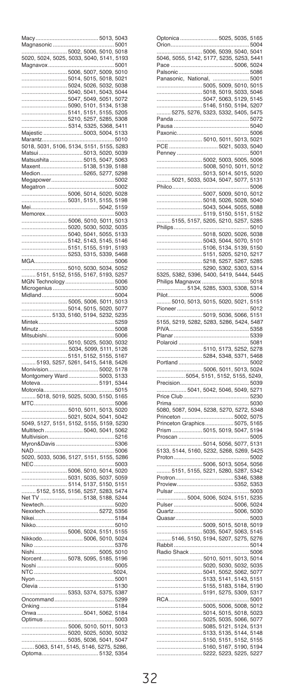| Magnasonic                                                         |                    |                                  | 5013, 5043             |               |
|--------------------------------------------------------------------|--------------------|----------------------------------|------------------------|---------------|
|                                                                    |                    |                                  |                        | 5001          |
|                                                                    |                    |                                  | 5002, 5006, 5010, 5018 |               |
| 5020, 5024, 5025, 5033, 5040, 5141, 5193<br>Magnavox               |                    |                                  |                        | .5001         |
|                                                                    |                    |                                  | 5006, 5007, 5009, 5010 |               |
|                                                                    | 5014, 5015, 5018,  |                                  |                        | 5021          |
|                                                                    | 5024, 5026, 5032,  |                                  |                        | 5038          |
|                                                                    | 5047               | 5040, 5041, 5043,                |                        | 5044<br>5072  |
|                                                                    | 5090, 5101, 5134,  | , 5049, 5051,                    |                        | 5138          |
|                                                                    | 5141, 5151, 5155,  |                                  |                        | 5205          |
|                                                                    |                    | 5210, 5257, 5285,                |                        | 5308          |
|                                                                    |                    |                                  | 5314, 5325, 5368, 5411 |               |
| Maiestic.<br>Marantz                                               |                    | 5003, 5004,                      |                        | 5133<br>5010  |
| 5018, 5031, 5106, 5134, 5151, 5155,                                |                    |                                  |                        | 5283          |
| Matsui.                                                            |                    | 5013, 5020,                      |                        | 5039          |
| Matsushita                                                         |                    | 5015, 5047                       |                        | 5063          |
| Maxent                                                             |                    | 5138, 5139,                      |                        | 5188          |
| Medion.<br>Megapower                                               |                    | 5265, 5277,                      |                        | 5298<br>5002  |
| Megatron                                                           |                    |                                  |                        | 5002          |
|                                                                    | 5006, 5014, 5020,  |                                  |                        | 5028          |
| .                                                                  | 5031, 5151, 5155,  |                                  |                        | 5198          |
| Mei                                                                |                    |                                  | 5042.                  | 5159<br>5003  |
| Memorex                                                            |                    | 5006, 5010, 5011,                |                        | 5013          |
|                                                                    |                    | 5020, 5030, 5032,                |                        | 5035          |
|                                                                    |                    | 5040, 5041, 5055,                |                        | 5133          |
|                                                                    |                    | 5142, 5143, 5145,                |                        | 5146          |
|                                                                    | 5253.              | 5151, 5155, 5191,<br>5315, 5339, |                        | 5193<br>5468  |
| <b>MGA</b>                                                         |                    |                                  |                        | 5006          |
|                                                                    |                    |                                  | 5010, 5030, 5034, 5052 |               |
| 5151, 5152, 5155, 5167, 5193,                                      |                    |                                  |                        | 5257          |
| MGN Technology                                                     |                    |                                  |                        | 5006          |
| Microgenius<br>Midland                                             |                    |                                  |                        | 5030<br>5004  |
|                                                                    |                    |                                  | 5005, 5006, 5011, 5013 |               |
| 5014, 5015, 5020,<br>5133, 5160, 5194, 5232,                       |                    |                                  |                        | 5077          |
|                                                                    |                    |                                  |                        | 5235          |
| Mintek<br>Minutz                                                   |                    |                                  |                        | 5259<br>5008  |
| Mitsubishi                                                         |                    |                                  |                        | 5006          |
|                                                                    | .5010, 5025, 5030, |                                  |                        | 5032          |
|                                                                    | 5034, 5099, 5111,  |                                  |                        | 5126          |
|                                                                    |                    | 5151, 5152, 5155,                |                        | 5167<br>5426  |
| 5193, 5257, 5261, 5415, 5418,<br>Monivision                        |                    |                                  |                        |               |
| Montgomery Ward 5003,                                              |                    |                                  |                        |               |
|                                                                    |                    |                                  |                        | 5178          |
| Moteva                                                             |                    |                                  | 5191                   | 5133<br>5344  |
| Motorola.                                                          |                    |                                  |                        | 5015          |
| 5018, 5019, 5025, 5030, 5150,                                      |                    |                                  |                        | 5165          |
| <b>MTC</b>                                                         |                    |                                  |                        | 5006<br>5020  |
|                                                                    | 5010, 5011, 5013,  |                                  |                        |               |
| 5021, 5024, 5041, 5042<br>5049, 5127, 5151, 5152, 5155, 5159, 5230 |                    |                                  |                        |               |
| Multitech                                                          |                    |                                  | 5040, 5041, 5062       |               |
| Multivision                                                        |                    |                                  |                        | .5216<br>5306 |
| Myron&Davis                                                        |                    |                                  |                        | 5006          |
| NAD<br>5020, 5033, 5036, 5127, 5151, 5155, 5286                    |                    |                                  |                        |               |
| <b>NEC</b>                                                         |                    |                                  |                        | 5003          |
|                                                                    |                    |                                  | 5006, 5010, 5014, 5020 |               |
|                                                                    |                    | 5031, 5035, 5037,                |                        | 5059          |
| 5152, 5155, 5156, 5257, 5283,                                      |                    |                                  | 5114, 5137, 5150, 5151 | 5474          |
| Net T<br>V                                                         | 5138, 5188,        |                                  |                        | 5244          |
| Newtech.                                                           |                    |                                  |                        | 5020          |
| Nexxtech                                                           |                    |                                  |                        | 5356<br>5184  |
| Nikei<br>Nikko                                                     |                    |                                  |                        | 5010          |
| 5006, 5024, 5151,                                                  |                    |                                  |                        | 5155          |
| <br>Nikkodo                                                        |                    |                                  | 5006, 5010, 5024       |               |
| Niko                                                               |                    |                                  |                        | 5376<br>5010  |
| Nishi<br>Norcent 5078, 5095, 5185,                                 | 5005,              |                                  |                        | 5196          |
| Noshi                                                              |                    |                                  |                        | 5005          |
| NTC                                                                |                    |                                  |                        | .5024         |
| Nyon                                                               |                    |                                  |                        | 5001          |
| ¢<br>Dlevia.                                                       |                    |                                  |                        | 5130          |
| Oncommand                                                          |                    |                                  |                        | 5299          |
| ¢<br>)nking                                                        |                    |                                  |                        | 5184          |
| Onwa.                                                              |                    |                                  | 5041, 5062, 5184       |               |
| Optimus                                                            |                    |                                  |                        | .5003         |
|                                                                    |                    |                                  | 5006, 5010, 5011, 5013 | 5032          |
|                                                                    | 5020, 5025, 5030,  |                                  |                        | 5047          |
| Optoma                                                             |                    |                                  |                        | 5286<br>5354  |

| וחחזר<br>Orion.                                             |       | 035,                                                            | 5165<br>.5004 |
|-------------------------------------------------------------|-------|-----------------------------------------------------------------|---------------|
|                                                             |       | .5006, 5039, 5040, 5041                                         |               |
|                                                             |       |                                                                 |               |
| 5046, 5055, 5142, 5177, 5235, 5253, 5441<br>Pace            |       | 5006, 5024                                                      |               |
|                                                             |       |                                                                 |               |
| Palsonic<br>Panasonic, National,                            |       | 5086                                                            |               |
|                                                             |       |                                                                 |               |
|                                                             |       |                                                                 |               |
|                                                             |       |                                                                 |               |
|                                                             |       |                                                                 |               |
|                                                             |       |                                                                 |               |
| 5275, 5276, 5323, 5332, 5405, 5475                          |       |                                                                 |               |
| Panda<br>Pausa                                              |       |                                                                 |               |
|                                                             |       |                                                                 |               |
| Paxonic                                                     |       |                                                                 | .5006         |
| 5010, 5011, 5013, 5021<br>PCE                               |       | 5021, 5033, 5040                                                |               |
| Penney                                                      |       |                                                                 | .5001         |
|                                                             |       | 5002, 5003, 5005, 5006                                          |               |
| 5008, 5010, 5011, 5012                                      |       |                                                                 |               |
|                                                             |       |                                                                 |               |
|                                                             |       |                                                                 |               |
| <br>Philco                                                  |       |                                                                 | .5006         |
| $\overline{5007}, 5009, 5010, 5012$                         |       |                                                                 |               |
| 5018, 5026, 5028, 5040                                      |       |                                                                 |               |
|                                                             |       |                                                                 |               |
|                                                             |       | . 5043, 5044, 5055, 5088<br>5119, 5150, 5151, 5152              |               |
| 5155, 5157, 5205, 5210, 5257, 5285                          |       |                                                                 |               |
| Philips                                                     |       |                                                                 | .5010         |
|                                                             |       | 5018, 5020, 5026, 5038                                          |               |
|                                                             |       |                                                                 |               |
|                                                             |       |                                                                 |               |
|                                                             |       |                                                                 |               |
|                                                             |       |                                                                 |               |
|                                                             |       |                                                                 |               |
|                                                             |       |                                                                 |               |
| Philips Magnavox                                            |       |                                                                 | .5018         |
| 5134, 5285, 5303, 5308, 5314                                |       |                                                                 |               |
| Pilot                                                       |       |                                                                 |               |
| 5010, 5013, 5015, 5020, 5021, 5151                          |       |                                                                 |               |
| Pioneer                                                     |       |                                                                 | .5012         |
| 5019, 5036, 5066, 5151                                      |       |                                                                 |               |
| 5155, 5219, 5282, 5283, 5286, 5424, 5487                    |       |                                                                 |               |
| PIVA.                                                       |       |                                                                 | 5358          |
| Planar.                                                     |       |                                                                 | 5339          |
|                                                             |       |                                                                 |               |
|                                                             |       |                                                                 |               |
| Polaroid                                                    |       |                                                                 | 5081          |
| 5110, 5173, 5252, 5278                                      |       |                                                                 |               |
| 5284, 5348, 5371, 5468                                      |       |                                                                 | 5002          |
| Portland.                                                   |       |                                                                 |               |
|                                                             |       |                                                                 |               |
| . 5006, 5011, 5013, 5024<br>. 5054, 5151, 5152, 5155, 5249, |       |                                                                 |               |
| <br>Precision<br>5041, 5042, 5046, 5049, 5271               |       |                                                                 | . 5039        |
|                                                             |       |                                                                 |               |
| Prima.                                                      |       |                                                                 | 5030          |
| 5080, 5087, 5094, 5238, 5270, 5272, 5348                    |       |                                                                 |               |
| Princeton                                                   |       | 5002, 5075                                                      |               |
| Princeton Graphics  5075, 5165                              |       |                                                                 |               |
| Prism  5015, 5019, 5047, 5194                               |       |                                                                 |               |
| Proscan                                                     |       |                                                                 | .5005         |
| 5014, 5056, 5077, 5131                                      |       |                                                                 |               |
| 5133, 5144, 5160, 5232, 5268, 5269, 5425                    |       |                                                                 |               |
| Proton                                                      |       |                                                                 | .5002         |
| 5006, 5013, 5054, 5056<br>.                                 |       |                                                                 |               |
| 5151, 5155, 5221, 5280, 5287, 5342                          |       |                                                                 |               |
| Protron                                                     |       | 5346, 5388                                                      |               |
|                                                             |       |                                                                 |               |
| Pulsar                                                      |       |                                                                 | 5003          |
| 5004, 5006, 5024, 5151, 5235                                |       |                                                                 |               |
| <br>Pulser                                                  |       | 5006, 5024                                                      |               |
| Quartz                                                      |       | 5006, 5030                                                      |               |
| Quasar                                                      |       |                                                                 | .5003         |
|                                                             |       | 5009, 5015, 5018, 5019                                          |               |
|                                                             |       | .5035, 5047, 5063, 5145                                         |               |
| 5146, 5150, 5194, 5207, 5275, 5276                          |       |                                                                 |               |
| Rabbit.                                                     |       | 5014                                                            | 5006          |
| Radio Shack                                                 |       |                                                                 |               |
|                                                             |       | 5010, 5011, 5013, 5014                                          |               |
|                                                             |       | 5020, 5030, 5032, 5035                                          |               |
| 5041, 5052, 5062, 5077                                      |       |                                                                 |               |
|                                                             |       |                                                                 |               |
| 5191, 5275, 5309, 5317                                      |       | 5133, 5141, 5143, 5151<br>5155, 5183, 5184, 5190                |               |
|                                                             |       |                                                                 | 5001          |
| RCA                                                         |       |                                                                 |               |
|                                                             |       | 5005, 5006, 5008, 5012                                          |               |
|                                                             |       | 5014, 5015, 5018, 5023                                          |               |
|                                                             |       |                                                                 |               |
|                                                             |       | 5025, 5035, 5066, 5077<br>5085, 5121, 5124, 5131                |               |
|                                                             |       | 5133, 5135, 5144, 5148                                          |               |
|                                                             | 5222, | 5150, 5151, 5152, 5155<br>5160, 5167, 5190, 5194<br>5223, 5225, | 5227          |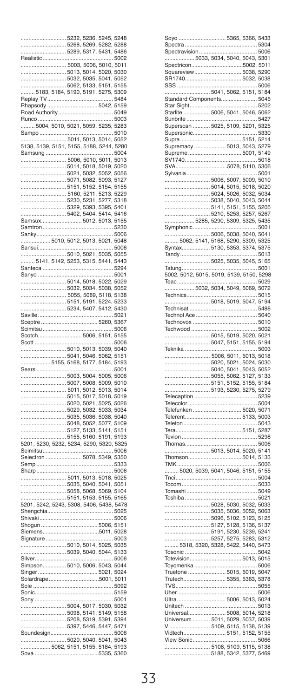|                                                                                                                  | 5232                                                 | 5236        | 5245, 5248                                       |              |
|------------------------------------------------------------------------------------------------------------------|------------------------------------------------------|-------------|--------------------------------------------------|--------------|
|                                                                                                                  |                                                      |             | 5268, 5269, 5282, 5288                           |              |
|                                                                                                                  |                                                      |             | 5289, 5317, 5431, 5486                           |              |
| <b>Realistic</b>                                                                                                 |                                                      |             |                                                  | .5002        |
|                                                                                                                  | 5003, 5006, 5010, 5011                               |             |                                                  |              |
|                                                                                                                  | .5013, 5014, 5020, 5030<br>.5032, 5035, 5041, 5052   |             |                                                  |              |
|                                                                                                                  |                                                      |             |                                                  |              |
|                                                                                                                  | 5062, 5133, 5151, 5155                               |             |                                                  |              |
| 5183, 5184, 5190, 5191, 5275, 5309<br>T                                                                          |                                                      |             |                                                  | .5484        |
| Replay<br>Rhapsody                                                                                               |                                                      |             |                                                  |              |
|                                                                                                                  |                                                      |             |                                                  |              |
| Runco                                                                                                            |                                                      |             |                                                  | .5003        |
| $$ 5004, 5010, 5021,                                                                                             |                                                      |             | 5059, 5235, 5283                                 |              |
| Sampo                                                                                                            |                                                      |             |                                                  | 5010         |
|                                                                                                                  | .5011, 5013, 5014, 5052                              |             |                                                  |              |
| 5011,<br>5138, 5139, 5151, 5155,                                                                                 |                                                      |             | 5188, 5244, 5280                                 |              |
| Samsung                                                                                                          |                                                      |             |                                                  | .5004        |
|                                                                                                                  | 5006, 5010, 5011, 5013                               |             |                                                  |              |
|                                                                                                                  |                                                      |             | 5014, 5018, 5019, 5020                           |              |
|                                                                                                                  |                                                      |             | 5021, 5032, 5052, 5056                           |              |
|                                                                                                                  |                                                      | 5071, 5082, | 5093, 5127                                       |              |
|                                                                                                                  |                                                      |             | 5151, 5152, 5154, 5155                           |              |
|                                                                                                                  | . 5160, 5211, 5213, 5229                             |             | 5277,                                            | 5318         |
|                                                                                                                  |                                                      |             | 5230, 5231, 5277, 5318<br>5329, 5393, 5395, 5401 |              |
|                                                                                                                  | 5402, 5404, 5414, 5416                               |             |                                                  |              |
| Samsux                                                                                                           |                                                      |             | 5012, 5013, 5155                                 |              |
| Samtron                                                                                                          |                                                      |             |                                                  | .5230        |
| Sanky                                                                                                            |                                                      |             |                                                  |              |
| 5010, 5012, 5013, 5021, 5048                                                                                     |                                                      |             |                                                  |              |
| Sansui                                                                                                           |                                                      |             |                                                  | .5006        |
| ----------------------------- 5010, 5021, 5035, 5055<br>------- 5141, 5142, 5253, 5315, 5441, 5443               |                                                      |             |                                                  |              |
|                                                                                                                  |                                                      |             |                                                  |              |
| Santeca                                                                                                          |                                                      |             |                                                  | .5294        |
| Sanyo.                                                                                                           |                                                      |             | 5001                                             |              |
|                                                                                                                  |                                                      |             | 5014, 5018, 5022, 5029                           |              |
|                                                                                                                  |                                                      |             | 5032, 5034, 5038, 5052                           |              |
|                                                                                                                  |                                                      |             | 5055, 5089, 5118, 5138                           |              |
|                                                                                                                  | . 5151, 5191, 5224, 5233<br>. 5234, 5407, 5412, 5430 |             |                                                  |              |
|                                                                                                                  |                                                      |             |                                                  | .5021        |
| Saville<br>Sceptre                                                                                               |                                                      |             | 5260, 5367                                       |              |
| Scimitsu                                                                                                         |                                                      |             |                                                  | .5006        |
| Scotch                                                                                                           | 5006, 5151, 5155                                     |             |                                                  |              |
| Scott                                                                                                            |                                                      |             |                                                  | 5006         |
| 5010, 5013, 5039, 5040                                                                                           |                                                      |             |                                                  |              |
| 5041, 5046, 5062, 5151<br>5155, 5168, 5177, 5184, 5193                                                           |                                                      |             |                                                  |              |
|                                                                                                                  |                                                      |             |                                                  |              |
| Sears                                                                                                            |                                                      |             |                                                  | 5001         |
|                                                                                                                  | 5003,                                                |             | 5004, 5005, 5006                                 |              |
|                                                                                                                  | 5007,                                                |             | 5008, 5009, 5010                                 |              |
|                                                                                                                  | 5015,                                                | 5017,       | 5011, 5012, 5013, 5014                           |              |
|                                                                                                                  |                                                      |             | 5018, 5019<br>5020, 5021, 5025, 5026             |              |
|                                                                                                                  |                                                      |             | 5029, 5032, 5033, 5034                           |              |
|                                                                                                                  |                                                      |             | 5035, 5036, 5038, 5040                           |              |
|                                                                                                                  |                                                      |             | 5048, 5052, 5077, 5109                           |              |
|                                                                                                                  |                                                      |             | 5127, 5133, 5141, 5151                           |              |
|                                                                                                                  | 5155, 5160, 5191, 5193                               |             |                                                  |              |
| 5201, 5230, 5232, 5234, 5290, 5320, 5325                                                                         |                                                      |             |                                                  |              |
| Seimitsu                                                                                                         |                                                      |             |                                                  |              |
| Selectron                                                                                                        |                                                      |             |                                                  | .5006        |
| Semp                                                                                                             |                                                      |             | 5078, 5349, 5350                                 |              |
| Sharp                                                                                                            |                                                      |             |                                                  |              |
|                                                                                                                  |                                                      |             |                                                  | 5006         |
|                                                                                                                  |                                                      |             | 5011, 5013, 5018, 5025                           |              |
|                                                                                                                  |                                                      |             | 5035, 5040, 5041, 5051                           |              |
|                                                                                                                  |                                                      |             |                                                  |              |
|                                                                                                                  |                                                      |             |                                                  |              |
|                                                                                                                  |                                                      |             |                                                  |              |
| Shengchia.<br>Shivaki                                                                                            |                                                      |             |                                                  | 5025<br>5006 |
| Shogun 5006, 5151                                                                                                |                                                      |             |                                                  |              |
|                                                                                                                  |                                                      |             |                                                  |              |
| Signature                                                                                                        |                                                      |             |                                                  | 5003         |
|                                                                                                                  |                                                      |             | 5010, 5014, 5025, 5035                           |              |
|                                                                                                                  |                                                      |             | 5039, 5040, 5044, 5133                           |              |
|                                                                                                                  |                                                      |             |                                                  |              |
|                                                                                                                  |                                                      |             |                                                  |              |
|                                                                                                                  |                                                      |             |                                                  |              |
|                                                                                                                  |                                                      |             |                                                  |              |
| Sole                                                                                                             |                                                      |             |                                                  | 5092<br>5159 |
| Sonic                                                                                                            |                                                      |             |                                                  |              |
| Sony                                                                                                             |                                                      |             |                                                  | .5001        |
| 5004, 5017, 5030, 5032<br>5004, 5017, 5030, 5032<br>5098, 5141, 5149, 5158                                       |                                                      |             |                                                  |              |
|                                                                                                                  |                                                      |             |                                                  |              |
|                                                                                                                  | 5397,                                                | 5446,       | 5208, 5319, 5391, 5394<br>5447, 5471             |              |
| Soundesign                                                                                                       |                                                      |             |                                                  | 5006         |
|                                                                                                                  |                                                      |             |                                                  |              |
| ------------ 5020, 5040, 5041, 5043<br>- 5062, 5151, 5155, 5184, 5193<br>- 5062, 5151, 5155, 5184, 5193<br>Sova. |                                                      |             | 5335, 5360                                       |              |

| Soyo<br>Spectra                                      |                                                   | 5365, 5366, 5433       | 5304    |
|------------------------------------------------------|---------------------------------------------------|------------------------|---------|
| Spectravision                                        |                                                   |                        | 5006    |
| 5033, 5034, 5040, 5043, 5301<br>Spectricon5002, 5011 |                                                   |                        |         |
| Squareview 5038, 5290                                |                                                   |                        |         |
| SSS                                                  |                                                   |                        | 5006    |
| 5041, 5062, 5151, 5184                               |                                                   |                        |         |
| Standard Components 5045                             |                                                   |                        |         |
| Star Sight                                           |                                                   |                        |         |
| Starlite                                             | 5006, 5041, 5046, 5062                            |                        |         |
|                                                      |                                                   |                        |         |
|                                                      |                                                   |                        |         |
| Supra                                                |                                                   | $$ 5151, 5214          |         |
| Supremacy  5013, 5043,                               |                                                   |                        | 5279    |
| Supreme 5001, 5149                                   |                                                   |                        |         |
| SV1740<br>SVA5078, 5110, 5306                        |                                                   |                        | .5018   |
| Sylvania                                             |                                                   |                        | .5001   |
|                                                      |                                                   |                        |         |
|                                                      |                                                   |                        |         |
|                                                      |                                                   |                        |         |
|                                                      | .5038, 5040, 5043, 5044                           |                        |         |
|                                                      | .5141, 5151, 5155, 5205<br>5210, 5253, 5257, 5267 |                        |         |
| 5285, 5290, 5309, 5325, 5435                         |                                                   |                        |         |
| Symphonic                                            |                                                   |                        | 5001    |
|                                                      | 5006, 5038, 5040, 5041                            |                        |         |
| .5062, 5141, 5168, 5290, 5309, 5325                  |                                                   |                        |         |
| Syntax 5130, 5353, 5374, 5375                        |                                                   |                        |         |
| Tandy<br>5025, 5035, 5045, 5165                      |                                                   |                        | 5013    |
| Tatung.                                              |                                                   |                        | 5001    |
| 5002, 5012, 5015, 5019, 5139, 5150, 5298             |                                                   |                        |         |
| Teac                                                 |                                                   |                        | .5029   |
| 5032, 5034, 5049, 5069, 5072                         |                                                   |                        |         |
| Technics<br>5018, 5019, 5047, 5194                   |                                                   |                        | .5015   |
|                                                      |                                                   |                        |         |
| Technol Ace                                          |                                                   |                        | 5040    |
|                                                      |                                                   |                        | 5010    |
| Techwood                                             |                                                   |                        | .5002   |
| 5015, 5019, 5020, 5021                               |                                                   |                        |         |
|                                                      |                                                   |                        |         |
| 5047, 5151, 5155, 5194                               |                                                   |                        |         |
| Teknika                                              |                                                   |                        | . 5003  |
|                                                      | 5006, 5011, 5013, 5018                            |                        |         |
|                                                      |                                                   | 5020, 5021, 5024, 5030 |         |
| 5040, 5041, 5043, 5052                               |                                                   |                        |         |
| 5151, 5152, 5155, 5184                               |                                                   |                        |         |
| 5193, 5230, 5275, 5279                               |                                                   |                        |         |
|                                                      |                                                   |                        | 5239    |
|                                                      |                                                   |                        |         |
|                                                      |                                                   |                        |         |
|                                                      |                                                   |                        |         |
|                                                      |                                                   |                        |         |
| Tevion                                               |                                                   |                        | $$ 5298 |
|                                                      |                                                   |                        |         |
| 5013, 5014, 5020, 5141                               |                                                   |                        |         |
|                                                      |                                                   |                        | 5006    |
| 5020, 5039, 5041, 5046, 5151, 5155                   |                                                   |                        |         |
| .<br>Tnci<br>Tocom                                   |                                                   |                        |         |
|                                                      |                                                   |                        |         |
| Toshiba                                              |                                                   |                        | 5021    |
| 5028, 5030, 5032, 5033                               |                                                   |                        |         |
|                                                      |                                                   |                        |         |
|                                                      |                                                   |                        |         |
|                                                      |                                                   |                        |         |
|                                                      |                                                   |                        |         |
| 5318, 5320, 5328, 5422, 5440, 5473                   | 5191, 5230, 5239, 5241<br>5257, 5275, 5283, 5312  |                        |         |
| <br>Tosonic                                          |                                                   |                        | .5042   |
| Totevision                                           |                                                   |                        |         |
|                                                      |                                                   |                        | 5006    |
| Trutech                                              |                                                   |                        |         |
| VS                                                   | 5355, 5363, 5378                                  |                        |         |
| Uher                                                 |                                                   |                        | 5006    |
| Jitra.                                               |                                                   | 5006, 5013, 5024       |         |
| Jnitech.                                             |                                                   |                        | .5013   |
| Jniversal<br>ı                                       |                                                   | 5008, 5014, 5218       |         |
|                                                      |                                                   |                        |         |
| Vidtech                                              |                                                   | 5151, 5152, 5155       |         |
| lew Sonic                                            |                                                   |                        | .5066   |
| 5108, 5109, 5115, 5138                               | 5188.                                             | 5342, 5377, 5469       |         |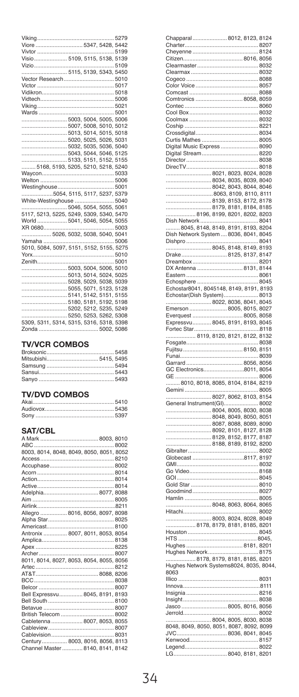| Visio 5109, 5115, 5138, 5139             |  |  |
|------------------------------------------|--|--|
|                                          |  |  |
|                                          |  |  |
| Vector Research 5010                     |  |  |
|                                          |  |  |
|                                          |  |  |
|                                          |  |  |
|                                          |  |  |
|                                          |  |  |
|                                          |  |  |
| 5003. 5004. 5005. 5006                   |  |  |
| 5007, 5008, 5010, 5012                   |  |  |
|                                          |  |  |
| 5020, 5025, 5026, 5031                   |  |  |
| 5032. 5035. 5036. 5040                   |  |  |
| 5043, 5044, 5046, 5125                   |  |  |
|                                          |  |  |
| 5168. 5193. 5205. 5210. 5218. 5240       |  |  |
|                                          |  |  |
|                                          |  |  |
|                                          |  |  |
| 5054, 5115, 5117, 5237, 5379             |  |  |
| White-Westinghouse  5040                 |  |  |
|                                          |  |  |
|                                          |  |  |
|                                          |  |  |
| 5117, 5213, 5225, 5249, 5309, 5340, 5470 |  |  |
| World  5041, 5046, 5054, 5055            |  |  |
|                                          |  |  |
|                                          |  |  |
|                                          |  |  |
|                                          |  |  |
|                                          |  |  |
|                                          |  |  |
|                                          |  |  |
| 5013, 5014, 5024, 5025                   |  |  |
| 5028, 5029, 5038, 5039                   |  |  |
| 5055. 5071. 5123. 5128                   |  |  |
| 5141.5142.5151.5155                      |  |  |
| 5180, 5181, 5192, 5198                   |  |  |
|                                          |  |  |
| 5250, 5253, 5262, 5308                   |  |  |
| 5309. 5311, 5314, 5315, 5316, 5318, 5398 |  |  |

#### **TV/VCR COMBOS**

#### **TV/DVD COMBOS**

| $1.97$ $- 9.01$ $- 1.00$ |  |
|--------------------------|--|
|                          |  |
|                          |  |
|                          |  |

#### SAT/CBL

|  | 8003, 8014, 8048, 8049, 8050, 8051, 8052<br>Adelphia 8077, 8088<br>Allegro  8016, 8056, 8097, 8098<br>Antronix  8007, 8011, 8053, 8054<br>8011, 8014, 8027, 8053, 8054, 8055, 8056<br>Bell Expressvu 8045, 8191, 8193<br>Cabletenna  8007, 8053, 8055<br>Century 8003, 8016, 8056, 8113<br>Channel Master  8140, 8141, 8142 |
|--|-----------------------------------------------------------------------------------------------------------------------------------------------------------------------------------------------------------------------------------------------------------------------------------------------------------------------------|

| r                                                                                           |   |                                                                            |      |        |
|---------------------------------------------------------------------------------------------|---|----------------------------------------------------------------------------|------|--------|
|                                                                                             |   |                                                                            |      |        |
| Ć                                                                                           |   |                                                                            |      |        |
|                                                                                             |   |                                                                            |      | 8088   |
| Comtronics  8058, 8059                                                                      |   |                                                                            |      |        |
|                                                                                             |   |                                                                            |      |        |
| í                                                                                           |   |                                                                            |      |        |
|                                                                                             |   |                                                                            |      |        |
| Coship                                                                                      |   |                                                                            |      |        |
| c                                                                                           |   |                                                                            |      |        |
|                                                                                             |   |                                                                            |      |        |
| Curtis Mathes  8005                                                                         |   |                                                                            |      |        |
| Digital Music Express  8090<br>f                                                            |   |                                                                            |      |        |
| Digital Stream 8220                                                                         |   |                                                                            |      |        |
| Director                                                                                    |   |                                                                            | 8038 |        |
| DirecTV                                                                                     |   |                                                                            |      | . 8018 |
|                                                                                             |   |                                                                            |      |        |
|                                                                                             |   |                                                                            |      |        |
| .                                                                                           |   |                                                                            |      |        |
|                                                                                             |   |                                                                            |      |        |
|                                                                                             |   | 8042, 8043, 8044, 8046<br>8063, 8109, 8110, 8111<br>8139, 8153, 8172, 8178 |      |        |
|                                                                                             |   |                                                                            |      |        |
| 8179, 8181, 8184, 8185<br>8196, 8199, 8201, 8202, 8203                                      |   |                                                                            |      |        |
| Dish Network                                                                                |   |                                                                            |      | .8041  |
|                                                                                             |   |                                                                            |      |        |
| f                                                                                           |   |                                                                            |      |        |
| 0ish Network System  8036, 8041, 8045                                                       |   |                                                                            |      |        |
| Dishpro                                                                                     |   |                                                                            | u.   | 8041   |
|                                                                                             |   |                                                                            |      |        |
| Drake8125, 8137, 8147                                                                       |   |                                                                            |      |        |
| Dreambox                                                                                    |   |                                                                            |      | .8201  |
| DX Antenna  8131, 8144                                                                      |   |                                                                            |      |        |
|                                                                                             |   |                                                                            |      |        |
|                                                                                             |   |                                                                            |      |        |
|                                                                                             |   |                                                                            |      |        |
| Echostar(Dish System)                                                                       |   |                                                                            |      | 8013   |
|                                                                                             |   |                                                                            |      |        |
|                                                                                             |   |                                                                            |      |        |
|                                                                                             |   |                                                                            |      |        |
|                                                                                             |   |                                                                            |      |        |
| Fortec Star                                                                                 |   |                                                                            | .    | 8118   |
|                                                                                             |   |                                                                            |      |        |
| 8119, 8120, 8121, 8122, 8132                                                                |   |                                                                            |      |        |
|                                                                                             |   |                                                                            |      |        |
|                                                                                             |   |                                                                            |      |        |
| Fujitsu                                                                                     |   |                                                                            |      |        |
| Funai                                                                                       |   |                                                                            |      | 8039   |
|                                                                                             |   |                                                                            |      |        |
|                                                                                             |   |                                                                            |      |        |
|                                                                                             |   |                                                                            |      | 8006   |
| GE<br>8010, 8018, 8085, 8104, 8184, 8219                                                    |   |                                                                            |      |        |
| Gemini                                                                                      | . |                                                                            | .    | 8005   |
| 8027, 8062, 8103, 8154                                                                      |   |                                                                            |      |        |
|                                                                                             |   |                                                                            |      |        |
|                                                                                             |   |                                                                            |      |        |
|                                                                                             |   |                                                                            |      |        |
|                                                                                             |   |                                                                            |      |        |
|                                                                                             |   |                                                                            |      |        |
|                                                                                             |   |                                                                            |      |        |
|                                                                                             |   |                                                                            |      |        |
|                                                                                             |   |                                                                            |      |        |
|                                                                                             |   |                                                                            |      | 8002   |
| Globecast 8117, 8197                                                                        |   |                                                                            |      |        |
|                                                                                             |   |                                                                            |      |        |
|                                                                                             |   |                                                                            |      |        |
| GOI                                                                                         |   |                                                                            |      | 8045   |
|                                                                                             |   |                                                                            |      |        |
|                                                                                             |   |                                                                            |      |        |
|                                                                                             |   |                                                                            |      |        |
| 8048, 8063, 8064, 8065                                                                      |   |                                                                            |      |        |
| Hitachi                                                                                     |   |                                                                            |      | .8002  |
| 8003, 8024, 8028, 8049                                                                      |   |                                                                            |      |        |
| 8178, 8179, 8181, 8185, 8201                                                                |   |                                                                            |      |        |
| Houston                                                                                     |   |                                                                            | 8045 |        |
| <b>HTS</b>                                                                                  |   |                                                                            |      | .8045, |
|                                                                                             |   |                                                                            |      |        |
| Hughes Network                                                                              |   |                                                                            |      | . 8175 |
|                                                                                             |   |                                                                            |      |        |
| ughes Network8175<br>8178, 8179, 8181, 8185, 8201<br>Hughes Network Systems8024, 8035, 8044 |   |                                                                            |      |        |
| 8063                                                                                        |   |                                                                            |      |        |
|                                                                                             |   |                                                                            |      |        |
|                                                                                             |   |                                                                            |      |        |
|                                                                                             |   |                                                                            |      |        |
|                                                                                             |   |                                                                            |      |        |
|                                                                                             |   |                                                                            |      |        |
|                                                                                             |   |                                                                            |      |        |
| Jerrold                                                                                     |   |                                                                            |      |        |
|                                                                                             |   |                                                                            |      |        |
|                                                                                             |   |                                                                            |      |        |
|                                                                                             |   |                                                                            |      |        |
|                                                                                             |   |                                                                            |      |        |
| 8040, 8181, 8201<br>LG                                                                      |   |                                                                            |      |        |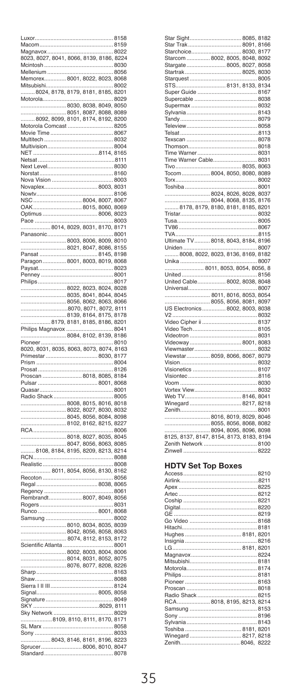| <b>UXOF</b>                              |   |                                                                            | 8158   |
|------------------------------------------|---|----------------------------------------------------------------------------|--------|
| Macom                                    |   |                                                                            | 8159   |
| Magnavox                                 |   |                                                                            | 8022   |
| 8023, 8027, 8041, 8066, 8139, 8186, 8224 |   |                                                                            |        |
|                                          |   |                                                                            |        |
| Mcintosh.                                |   |                                                                            | 8030   |
| Mellenium                                |   |                                                                            | 8056   |
| Memorex 8001, 8022, 8023, 8068           |   |                                                                            |        |
| Mitsubishi                               |   |                                                                            | 8002   |
| 8024, 8178, 8179, 8181, 8185, 8201       |   |                                                                            |        |
|                                          |   |                                                                            |        |
| Motorola                                 |   |                                                                            | . 8029 |
| 8030, 8038, 8049, 8050                   |   |                                                                            |        |
|                                          |   |                                                                            |        |
|                                          |   |                                                                            |        |
|                                          |   |                                                                            |        |
| Motorola 0<br>Comcast                    |   |                                                                            | 8205   |
| Movie Time                               |   |                                                                            | 8067   |
| Multitech                                |   |                                                                            | 8032   |
| Multivision                              |   |                                                                            | .8004  |
|                                          |   |                                                                            |        |
|                                          |   |                                                                            |        |
|                                          |   |                                                                            | 8111   |
| <br>Next Level                           |   |                                                                            | .8030  |
| Norstat                                  |   |                                                                            | 8160   |
| Nova Vision                              |   |                                                                            | .8003  |
| Novaplex                                 |   | 8003, 8031                                                                 |        |
|                                          |   |                                                                            |        |
| Nowty                                    |   |                                                                            | 8106   |
|                                          |   | 8004, 8007, 8067                                                           |        |
|                                          |   | 8015, 8060, 8069                                                           |        |
| Optimus                                  |   | 8006, 8023                                                                 |        |
| Pace.                                    |   |                                                                            | 8003   |
|                                          |   |                                                                            |        |
| 8014, 8029, 8031, 8170, 8171             |   |                                                                            |        |
| Panasonic                                |   |                                                                            | .8001  |
|                                          |   | 8003, 8006, 8009, 8010                                                     |        |
|                                          |   | . 8021, 8047, 8086, 8155                                                   |        |
|                                          |   |                                                                            |        |
| Pansat                                   |   | 8145, 8198                                                                 |        |
| Paragon 8001, 8003, 8019, 8068           |   |                                                                            |        |
| Paysat.                                  |   |                                                                            | 8023   |
| Penney                                   |   |                                                                            | 8001   |
|                                          |   |                                                                            | .8017  |
| Philips                                  |   |                                                                            |        |
|                                          |   | 8022, 8023, 8024, 8028<br>8035, 8041, 8044, 8045                           |        |
|                                          |   |                                                                            |        |
|                                          |   |                                                                            |        |
|                                          |   |                                                                            |        |
|                                          |   |                                                                            |        |
|                                          |   | 8056, 8062, 8063, 8066<br>8070, 8071, 8072, 8111<br>8139, 8164, 8175, 8178 |        |
| 8179, 8181, 8185, 8186, 8201             |   |                                                                            |        |
|                                          |   |                                                                            |        |
|                                          |   |                                                                            |        |
|                                          |   |                                                                            |        |
|                                          |   |                                                                            |        |
| Pioneer                                  |   |                                                                            | 8010   |
|                                          |   |                                                                            |        |
|                                          |   |                                                                            |        |
| rimestar                                 |   | 8030, 8177                                                                 |        |
| Prism                                    |   |                                                                            | .8004  |
|                                          |   |                                                                            | 8126   |
| Prosat                                   |   |                                                                            |        |
| Proscan<br>Pulsar                        |   | 8018, 8085, 8184                                                           |        |
|                                          |   | 8001,8068                                                                  |        |
| Quasar.                                  |   |                                                                            | 8001   |
| Radio Shack                              |   |                                                                            | 8005   |
|                                          |   | 8008, 8015, 8016, 8018                                                     |        |
|                                          |   |                                                                            |        |
|                                          |   |                                                                            |        |
|                                          |   |                                                                            |        |
|                                          |   | 8022, 8027, 8030, 8032<br>8045, 8056, 8084, 8098<br>8102, 8162, 8215, 8227 |        |
|                                          |   |                                                                            | .8006  |
| <br>RCA                                  |   |                                                                            |        |
|                                          |   | 8018, 8027, 8035, 8045                                                     |        |
|                                          |   |                                                                            |        |
|                                          |   |                                                                            |        |
| <br>'N.                                  | . |                                                                            | 8088   |
| Realistic                                | . |                                                                            | 8008   |
|                                          |   |                                                                            |        |
| 8011, 8054, 8056, 8130, 8162             |   |                                                                            |        |
| Recoton                                  |   |                                                                            | 8056   |
|                                          |   |                                                                            |        |
|                                          |   |                                                                            | 8061   |
|                                          |   |                                                                            |        |
|                                          |   |                                                                            |        |
|                                          |   |                                                                            |        |
| Runco.                                   |   | 8001, 8068                                                                 |        |
| Samsung                                  |   |                                                                            | .8002  |
|                                          |   |                                                                            |        |
|                                          |   |                                                                            |        |
|                                          |   | $\frac{1}{2}$ 8010, 8034, 8035, 8039<br>8042, 8056, 8058, 8063             |        |
|                                          |   | 8074, 8112, 8153, 8172                                                     |        |
| Scientific Atlanta                       |   |                                                                            | 8001   |
| 8002, 8003, 8004, 8006                   |   |                                                                            |        |
|                                          |   |                                                                            |        |
|                                          |   | 8014, 8031, 8052, 8075                                                     |        |
|                                          |   | 8076, 8077, 8208, 8226                                                     |        |
| Sharp                                    |   |                                                                            | 8163   |
| Shaw.                                    |   |                                                                            | 8088   |
|                                          |   |                                                                            | 8124   |
| Sierra                                   |   |                                                                            |        |
|                                          |   |                                                                            |        |
|                                          |   |                                                                            |        |
|                                          |   |                                                                            |        |
|                                          |   |                                                                            |        |
|                                          |   |                                                                            |        |
| 8109, 8110, 8111, 8170, 8171             |   |                                                                            |        |
| SL Marx                                  |   | 8058                                                                       |        |
| Sony                                     |   |                                                                            | 8033   |
| 8043, 8146, 8161, 8196, 8223             |   |                                                                            |        |
| 8006, 8010, 8047<br>Sprucer.             |   |                                                                            |        |
| .<br>Standard                            |   |                                                                            | 8078   |

| Starchoice 8030, 8177                    |  |
|------------------------------------------|--|
| Starcom  8002, 8005, 8048, 8092          |  |
| Stargate  8005, 8027, 8058               |  |
|                                          |  |
|                                          |  |
|                                          |  |
|                                          |  |
|                                          |  |
|                                          |  |
|                                          |  |
|                                          |  |
|                                          |  |
|                                          |  |
|                                          |  |
|                                          |  |
|                                          |  |
| Time Warner Cable 8031                   |  |
|                                          |  |
|                                          |  |
| Tocom 8004, 8050, 8080, 8089             |  |
|                                          |  |
|                                          |  |
| 8024, 8026, 8028, 8037                   |  |
|                                          |  |
| 8178, 8179, 8180, 8181, 8185, 8201       |  |
|                                          |  |
|                                          |  |
|                                          |  |
|                                          |  |
| Ultimate TV 8018, 8043, 8184, 8196       |  |
|                                          |  |
| 8008, 8022, 8023, 8136, 8169, 8182       |  |
|                                          |  |
| 8011.8053.8054.8056.8                    |  |
|                                          |  |
| United Cable 8002, 8038, 8048            |  |
|                                          |  |
| 8011.8016.8053.8054                      |  |
| 8055, 8056, 8081, 8097                   |  |
| US Electronics 8002, 8003, 8038          |  |
|                                          |  |
|                                          |  |
|                                          |  |
|                                          |  |
|                                          |  |
|                                          |  |
|                                          |  |
| Viewstar 8059, 8066, 8067, 8079          |  |
|                                          |  |
|                                          |  |
|                                          |  |
|                                          |  |
|                                          |  |
|                                          |  |
|                                          |  |
|                                          |  |
| Winegard 8217, 8218                      |  |
|                                          |  |
| 8016, 8019, 8029, 8046                   |  |
| 8055, 8056, 8068, 8082                   |  |
|                                          |  |
| 8125, 8137, 8147, 8154, 8173, 8183, 8194 |  |
|                                          |  |

#### **HDTV Set Top Boxes**

| RCA 8018, 8195, 8213, 8214 |  |
|----------------------------|--|
|                            |  |
|                            |  |
|                            |  |
|                            |  |
|                            |  |
|                            |  |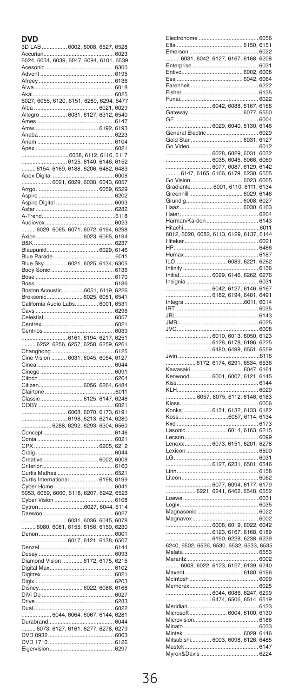#### **DVD**

| 3D LAB<br>Accurian                                       | 7, 6         |                  |
|----------------------------------------------------------|--------------|------------------|
|                                                          |              | .6023            |
| 6024, 6034, 6039, 6047, 6094, 6101, 6539                 |              |                  |
|                                                          |              | 6300             |
| Advent                                                   |              | 6195             |
|                                                          |              | 6018             |
|                                                          |              |                  |
| Akai<br>6027, 6055, 6120, 6151, 6289, 6294, 6477         |              | .6025            |
|                                                          | .6021,6029   |                  |
| Alba<br>Allegro  6031, 6127, 6312, 6540                  |              |                  |
|                                                          |              | 6147             |
| Ames<br>Amw                                              | 6192, 6193   |                  |
| Anaba                                                    |              | 6223             |
| Anam                                                     | 6104         |                  |
| Apex.                                                    |              | .6021            |
| 6038, 6112, 6116, 6117                                   |              |                  |
|                                                          |              |                  |
|                                                          |              |                  |
| Apex Digital                                             |              | .6006            |
| 6021, 6029, 6038, 6043, 6057                             |              |                  |
| Arrgo<br>6059, 6529                                      |              |                  |
| Aspire                                                   |              | 6202             |
|                                                          |              |                  |
| Astar                                                    |              |                  |
| A-Trend                                                  |              | 6118             |
| Audiovox.                                                |              | .6023            |
|                                                          |              |                  |
| Axion<br>6023                                            | , 6065, 6194 |                  |
| <b>B&amp;K</b>                                           |              | .6237            |
|                                                          |              |                  |
|                                                          |              |                  |
|                                                          |              |                  |
|                                                          |              |                  |
| Bose                                                     |              | .6170            |
| Boss                                                     |              | 6186             |
|                                                          |              |                  |
|                                                          | , 6051, 6541 |                  |
| California Audio Labs                                    | 6001, 6531   |                  |
| r<br>avs                                                 |              | 6296             |
| Celestial.                                               |              | .6057            |
| Centrex                                                  |              | 6021             |
| Centrios.<br>C                                           |              | .6039            |
| 6161, 6194, 6217, 6251                                   |              |                  |
|                                                          |              |                  |
| 6252, 6256, 6257                                         |              | 6258, 6259, 6261 |
| Changhong                                                |              | .6125            |
| lne Vision  6031, 6045, 6054, 6127<br>ť                  |              |                  |
| Ó<br>inea                                                |              | 6044             |
| Cinego                                                   |              | .6091            |
| Ó<br>itbch                                               |              | .6264            |
| Citizen 6056,<br>Ć                                       | 6264, 6484   |                  |
| Clairtone                                                |              | .6011            |
| Classic 6125, 6147, 6248<br>ť                            |              |                  |
| COBY<br>Ó                                                |              | 6021             |
| .6068, 6070, 6173, 6191                                  |              |                  |
| .6198, 6213, 6214, 6280                                  |              |                  |
| 6288, 6292, 6293, 6304, 6560                             |              |                  |
| Concept<br>Ó                                             | 6146         |                  |
| Conia<br>Ó                                               |              | .6021            |
|                                                          | 6205, 6212   |                  |
| Craig<br>Ó                                               |              | .6044            |
| Creative<br>Ó<br>Criterion.                              | 6002, 6008   | 6160             |
| Curtis Mathes                                            |              | .6521            |
| Curtis International<br>Ó                                |              |                  |
| Cyber Home.                                              | . 6198, 6199 | .6041            |
|                                                          |              |                  |
| 6053, 6059, 6060, 6118, 6207, 6242, 6523<br>Cyber Vision |              | .6108            |
| 6027<br>C<br>ytron                                       | 6044, 6114   |                  |
|                                                          |              | .6027            |
| 6031, 6036, 6045, 6078                                   |              |                  |
| 6080, 6081, 6155, 6156, 6159, 6230                       |              |                  |
| Denon                                                    |              | 6001             |
| 6017, 6121, 6138, 6507                                   |              |                  |
| Denzel                                                   |              |                  |
| Desay                                                    |              | 6093             |
| Diamond Vision  6172, 6175, 6215                         |              |                  |
| Digital Max                                              |              | .6102            |
| Digitrex                                                 |              | .6021            |
| Digix                                                    |              | 6203             |
| Disney 6022, 6086, 6168                                  |              |                  |
|                                                          |              | .6027            |
|                                                          |              | 6283             |
| Dual                                                     |              | 6022             |
| 6044, 6064, 6067, 6144, 6281                             |              |                  |
| Durabrand                                                |              | .6044            |
| 6073, 6127, 6161, 6277, 6278, 6279                       |              |                  |
| DVD 0932                                                 | 6003         |                  |
| Eigervision                                              |              | 6297             |

| Elta.<br>6150, 6151                               |              |
|---------------------------------------------------|--------------|
| Emerson                                           | .6022        |
|                                                   |              |
| Enterprise                                        | 6031         |
| Esa                                               |              |
|                                                   | 6222         |
| Fisher<br>6135                                    |              |
|                                                   |              |
| 6042, 6088, 6167, 6168<br>Gateway  6077, 6550     |              |
|                                                   | .6004        |
| 6029, 6040, 6130, 6146                            |              |
|                                                   | . 6029       |
| Gold Star  6031, 6127                             |              |
| 6028, 6029, 6031, 6032                            |              |
| 6035, 6045, 6066, 6069                            |              |
|                                                   |              |
|                                                   |              |
| <br>Go Vision<br>.6023, 6065                      |              |
| Gradiente 6001, 6110, 6111, 6134                  |              |
|                                                   |              |
|                                                   |              |
|                                                   |              |
|                                                   |              |
| Hitachi                                           | 6011         |
| 6012, 6020, 6082, 6113, 6129, 6137, 6144          |              |
| .<br>HP                                           | 6486         |
|                                                   |              |
| ILO 6089, 6221, 6262                              |              |
|                                                   | . 6136       |
|                                                   |              |
| Insignia                                          | 6031         |
|                                                   |              |
|                                                   |              |
|                                                   |              |
| IRI                                               |              |
|                                                   |              |
|                                                   |              |
|                                                   |              |
|                                                   |              |
|                                                   |              |
|                                                   |              |
| Jwin <sub>.</sub><br>6172, 6174, 6291, 6534, 6536 | 6116         |
| <br>Kawasaki<br>6047, 6161<br>.                   |              |
| Kenwood 6001, 6007, 6121, 6145                    |              |
| Kiss                                              |              |
| 6029<br>KLH                                       |              |
| 6057, 6075, 6112, 6146, 6183                      | . 6006       |
|                                                   |              |
|                                                   |              |
| ı                                                 | . 6173       |
| asonic  6014, 6163, 6215<br>ı<br>ecson.           |              |
| <br>6099                                          |              |
|                                                   |              |
| LG                                                | 6031         |
|                                                   |              |
| Liteon                                            |              |
|                                                   | $\dots$ 6062 |
|                                                   |              |
|                                                   |              |
| I<br>.ogix                                        |              |
|                                                   |              |
|                                                   | 6002         |
|                                                   |              |
|                                                   |              |
|                                                   |              |
|                                                   |              |
|                                                   |              |
| 6008, 6022, 6123, 6127, 6139, 6240<br>Maxent.     |              |
|                                                   |              |
|                                                   |              |
| 6044, 6086, 6247, 6299                            |              |
|                                                   |              |
| . 6123<br>Meridian                                |              |
|                                                   |              |
|                                                   |              |
|                                                   |              |
| 6147<br>Mustek                                    |              |

 $rac{1}{2}$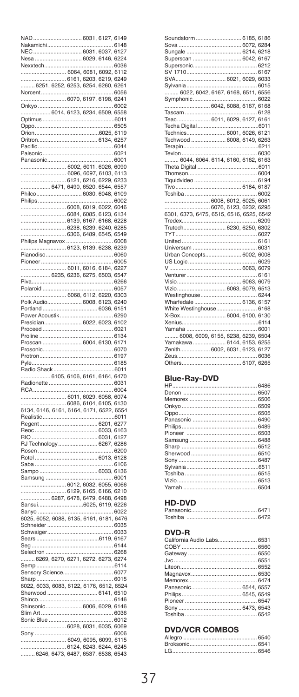| <b>GAL</b><br>ľ                                              |  | 6031, 6127, 6149       |               |
|--------------------------------------------------------------|--|------------------------|---------------|
| Nakamichi                                                    |  | 61486031, 6037, 6127   |               |
| NEC.                                                         |  |                        |               |
| Nesa.                                                        |  | 6029, 6146, 6224       |               |
| Nexxtech                                                     |  |                        | .6036         |
| 6064, 6081, 6092, 6112                                       |  | 6161, 6203, 6219, 6249 |               |
| 6251, 6252, 6253, 6254, 6260, 6261                           |  |                        |               |
| Norcent                                                      |  |                        | .6056         |
|                                                              |  | 6070, 6197, 6198, 6241 |               |
|                                                              |  |                        | .6002         |
| 6014, 6123, 6234, 6509, 6558                                 |  |                        |               |
| Optimus                                                      |  | 6011                   |               |
| Ć<br>ppo                                                     |  | . 6505                 |               |
| Irion.                                                       |  |                        |               |
| Iritron<br>ť                                                 |  | 6134, 6257             |               |
|                                                              |  |                        | 6044          |
| alsonic<br>F                                                 |  |                        | 6021          |
| Panasonic                                                    |  |                        | 6001          |
| 6002, 6011, 6026, 6090                                       |  |                        |               |
|                                                              |  |                        |               |
|                                                              |  |                        |               |
| Philco                                                       |  | 6030, 6048, 6109       |               |
| Philips                                                      |  |                        | 6002          |
| 6008, 6019, 6022, 6046                                       |  |                        |               |
|                                                              |  |                        |               |
|                                                              |  |                        |               |
|                                                              |  | 6238, 6239, 6240, 6285 |               |
| 6306, 6489, 6545, 6549                                       |  |                        |               |
| Philips Magnavox.                                            |  |                        | .6008         |
| 6123, 6139, 6238, 6239                                       |  |                        |               |
| Pianodisc.                                                   |  | 6060                   |               |
| Pioneer                                                      |  |                        | .6005         |
|                                                              |  | 6011, 6016, 6184, 6227 |               |
| 6235, 6236, 6275, 6503, 6547                                 |  |                        |               |
| Piva                                                         |  |                        |               |
| olaroid                                                      |  |                        |               |
| 6068, 6112, 6220, 6303<br>Polk Audio 6008, 6123, 6240        |  |                        |               |
| ortland                                                      |  | 6036, 6151             |               |
|                                                              |  |                        |               |
|                                                              |  |                        |               |
|                                                              |  |                        |               |
| p                                                            |  |                        | .6134         |
|                                                              |  |                        |               |
|                                                              |  |                        |               |
| Proscan  6004, 6130, 6171<br>Prosonic                        |  |                        |               |
|                                                              |  |                        | 6070<br>.6197 |
| Protron<br>Ė<br>yle                                          |  |                        | 6185          |
| ladio Shack<br>F                                             |  |                        | 6011          |
| 6105, 6106, 6161, 6164, 6470                                 |  |                        |               |
| Radionette.                                                  |  | 6031                   |               |
| <b>CA</b>                                                    |  |                        | 6004          |
|                                                              |  |                        |               |
|                                                              |  |                        |               |
|                                                              |  |                        |               |
| Realistic                                                    |  |                        |               |
| Regent                                                       |  | 6201, 627              |               |
| Reoc<br>Ė                                                    |  | 6033, 6163             |               |
|                                                              |  | 6267, 6286             |               |
| RJ Technology<br>Ė<br>losen.                                 |  |                        | 6200          |
| Rotel                                                        |  | 6013, 6128             |               |
|                                                              |  |                        | 6106          |
|                                                              |  | 6033, 6136             |               |
| Samsung                                                      |  |                        | .6001         |
|                                                              |  |                        |               |
|                                                              |  |                        |               |
|                                                              |  |                        |               |
| Sansui                                                       |  | 6025, 6119, 6226       |               |
| Sanyo                                                        |  |                        | .6022         |
| 6025, 6052, 6088, 6135, 6161, 6181, 6476                     |  |                        |               |
| Schneider                                                    |  |                        | $\dots$ 6035  |
| Schwaiger                                                    |  |                        | .6033         |
| Sears                                                        |  |                        |               |
| Seg<br>Selectron                                             |  |                        | 6268          |
| 6269, 6270, 627                                              |  | 1, 6272, 6273, 6274    |               |
| Semp                                                         |  |                        |               |
| Sensory Science                                              |  | $\ldots$ . 607         | 7             |
| Sharp                                                        |  |                        | .6015         |
| 6022, 6033, 6083, 6122, 6176, 6512, 6524                     |  |                        |               |
| Sherwood                                                     |  | 6141, 6510             |               |
| Shinco                                                       |  |                        | .6146         |
| Shinsonic 6006, 6029, 6146                                   |  |                        |               |
|                                                              |  |                        |               |
|                                                              |  |                        |               |
|                                                              |  |                        |               |
| Sony                                                         |  |                        | 6006          |
| 6124, 6243, 6244, 6245<br>6246, 6473, 6487, 6537, 6538, 6543 |  | 6049, 6095, 6099, 6115 |               |

| Soundstorm  6185. 6186                   |  |
|------------------------------------------|--|
|                                          |  |
|                                          |  |
| Superscan  6042, 6167                    |  |
|                                          |  |
|                                          |  |
|                                          |  |
|                                          |  |
| 6022, 6042, 6167, 6168, 6511, 6556       |  |
|                                          |  |
|                                          |  |
|                                          |  |
| Teac 6011. 6029. 6127. 6161              |  |
|                                          |  |
|                                          |  |
| Techwood  6008, 6149, 6263               |  |
|                                          |  |
|                                          |  |
| 6044. 6064. 6114. 6160. 6162. 6163       |  |
|                                          |  |
|                                          |  |
|                                          |  |
|                                          |  |
|                                          |  |
|                                          |  |
|                                          |  |
| 6076. 6123. 6232. 6295                   |  |
| 6301, 6373, 6475, 6515, 6516, 6525, 6542 |  |
| Trutech 6230, 6250, 6302                 |  |
|                                          |  |
|                                          |  |
|                                          |  |
|                                          |  |
| Urban Concepts 6002, 6008                |  |
|                                          |  |
|                                          |  |
|                                          |  |
|                                          |  |
|                                          |  |
|                                          |  |
| Wharfedale 6136, 6157                    |  |
| White Westinghouse 6168                  |  |
|                                          |  |
|                                          |  |
|                                          |  |
| 6008. 6009. 6155. 6238. 6239. 6504       |  |
| Yamakawa  6144. 6153. 6255               |  |
| Zenith 6002, 6031, 6123, 6127            |  |
|                                          |  |
| Others 6107 6265                         |  |

#### Blue-Ray-DVD

| Yamah 6504 |  |
|------------|--|

#### HD-DVD

#### DVD-R

| California Audio Labs 6531 |
|----------------------------|
|                            |
|                            |
|                            |
|                            |
|                            |
|                            |
|                            |
|                            |
|                            |
|                            |
|                            |
|                            |

#### **DVD/VCR COMBOS**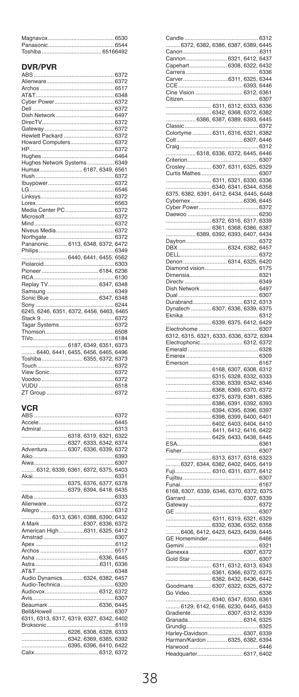#### **DVR/PVR**

| Hughes Network Systems 6349              |  |
|------------------------------------------|--|
| Humax 6187, 6349, 6561                   |  |
|                                          |  |
|                                          |  |
|                                          |  |
|                                          |  |
|                                          |  |
|                                          |  |
|                                          |  |
|                                          |  |
|                                          |  |
|                                          |  |
| Pananonic 6113, 6348, 6372, 6472         |  |
|                                          |  |
|                                          |  |
|                                          |  |
|                                          |  |
|                                          |  |
|                                          |  |
|                                          |  |
|                                          |  |
|                                          |  |
| 6245, 6246, 6351, 6372, 6456, 6463, 6465 |  |
|                                          |  |
|                                          |  |
|                                          |  |
|                                          |  |
|                                          |  |
| 6440. 6441. 6455. 6456. 6465. 6496       |  |
| Toshiba 6355. 6372. 6373                 |  |
|                                          |  |
|                                          |  |
|                                          |  |
|                                          |  |
|                                          |  |
|                                          |  |

#### **VCR**

| Adventura  6307, 6336, 6339, 6372        |  |  |
|------------------------------------------|--|--|
|                                          |  |  |
|                                          |  |  |
| 6312, 6339, 6361, 6372, 6375, 6403       |  |  |
|                                          |  |  |
|                                          |  |  |
|                                          |  |  |
|                                          |  |  |
|                                          |  |  |
|                                          |  |  |
| 6313, 6361, 6388, 6390, 6432             |  |  |
| A Mark  6307, 6336, 6372                 |  |  |
| American High6311, 6325, 6412            |  |  |
|                                          |  |  |
|                                          |  |  |
|                                          |  |  |
|                                          |  |  |
|                                          |  |  |
|                                          |  |  |
| Audio Dynamics 6324, 6382, 6457          |  |  |
|                                          |  |  |
|                                          |  |  |
|                                          |  |  |
| Beaumark 6336, 6445                      |  |  |
|                                          |  |  |
| 6311, 6313, 6317, 6319, 6327, 6342, 6402 |  |  |
|                                          |  |  |
| 6226, 6308, 6328, 6333                   |  |  |
|                                          |  |  |
|                                          |  |  |
|                                          |  |  |

| andle                                                                                                                                                                                                                                          |       |      | 6312   |
|------------------------------------------------------------------------------------------------------------------------------------------------------------------------------------------------------------------------------------------------|-------|------|--------|
|                                                                                                                                                                                                                                                |       |      |        |
|                                                                                                                                                                                                                                                |       |      | .6311  |
|                                                                                                                                                                                                                                                |       |      |        |
|                                                                                                                                                                                                                                                |       |      |        |
|                                                                                                                                                                                                                                                |       |      |        |
| Carver.                                                                                                                                                                                                                                        |       |      |        |
|                                                                                                                                                                                                                                                |       |      |        |
|                                                                                                                                                                                                                                                |       |      |        |
|                                                                                                                                                                                                                                                |       |      |        |
|                                                                                                                                                                                                                                                |       |      |        |
|                                                                                                                                                                                                                                                |       |      |        |
|                                                                                                                                                                                                                                                |       |      |        |
|                                                                                                                                                                                                                                                |       |      | .6372  |
|                                                                                                                                                                                                                                                |       |      |        |
|                                                                                                                                                                                                                                                |       |      |        |
| Craig                                                                                                                                                                                                                                          |       |      | . 6312 |
|                                                                                                                                                                                                                                                |       |      |        |
| Criterion                                                                                                                                                                                                                                      |       |      |        |
| Crosley  6307, 6311, 6325, 6329                                                                                                                                                                                                                |       |      |        |
| Curtis Mathes                                                                                                                                                                                                                                  |       |      | 6307   |
|                                                                                                                                                                                                                                                |       |      |        |
|                                                                                                                                                                                                                                                |       |      |        |
|                                                                                                                                                                                                                                                |       |      |        |
|                                                                                                                                                                                                                                                |       |      |        |
|                                                                                                                                                                                                                                                |       |      |        |
| Daewoo                                                                                                                                                                                                                                         |       |      | .6230  |
|                                                                                                                                                                                                                                                |       |      |        |
|                                                                                                                                                                                                                                                |       |      |        |
|                                                                                                                                                                                                                                                |       |      |        |
| Daytron                                                                                                                                                                                                                                        |       |      | .6372  |
|                                                                                                                                                                                                                                                |       |      |        |
|                                                                                                                                                                                                                                                |       |      | 6372   |
|                                                                                                                                                                                                                                                |       |      |        |
|                                                                                                                                                                                                                                                |       |      |        |
|                                                                                                                                                                                                                                                |       |      |        |
|                                                                                                                                                                                                                                                |       |      |        |
|                                                                                                                                                                                                                                                |       |      | .6307  |
|                                                                                                                                                                                                                                                |       |      |        |
|                                                                                                                                                                                                                                                |       |      |        |
|                                                                                                                                                                                                                                                |       |      |        |
|                                                                                                                                                                                                                                                |       |      |        |
|                                                                                                                                                                                                                                                |       |      |        |
|                                                                                                                                                                                                                                                |       |      |        |
|                                                                                                                                                                                                                                                |       |      |        |
|                                                                                                                                                                                                                                                |       |      |        |
|                                                                                                                                                                                                                                                |       |      | .6328  |
|                                                                                                                                                                                                                                                |       |      |        |
| Emerson                                                                                                                                                                                                                                        |       |      | 6167   |
|                                                                                                                                                                                                                                                |       |      |        |
|                                                                                                                                                                                                                                                |       |      |        |
|                                                                                                                                                                                                                                                |       |      |        |
|                                                                                                                                                                                                                                                |       |      |        |
|                                                                                                                                                                                                                                                |       |      |        |
|                                                                                                                                                                                                                                                |       |      |        |
|                                                                                                                                                                                                                                                |       |      |        |
|                                                                                                                                                                                                                                                |       |      |        |
|                                                                                                                                                                                                                                                |       |      |        |
|                                                                                                                                                                                                                                                |       |      |        |
|                                                                                                                                                                                                                                                |       |      |        |
| Emerson<br>6168, 6307, 6308, 6312<br>6316, 6328, 6332, 6332, 6332<br>6336, 6339, 6342, 6342<br>6358, 6339, 6342, 6342<br>636, 6339, 637, 637, 637, 637<br>637, 637, 637, 638, 636<br>6479, 6483, 6480, 6481<br>6442, 6432, 6433, 6432, 6432, 6 |       |      |        |
| Fisher                                                                                                                                                                                                                                         |       |      | 6307   |
|                                                                                                                                                                                                                                                |       |      |        |
|                                                                                                                                                                                                                                                |       |      |        |
|                                                                                                                                                                                                                                                |       |      |        |
|                                                                                                                                                                                                                                                |       | 6307 |        |
| Funai                                                                                                                                                                                                                                          | .<br> |      | 6167   |
|                                                                                                                                                                                                                                                |       |      |        |
|                                                                                                                                                                                                                                                |       |      |        |
|                                                                                                                                                                                                                                                |       |      | 6372   |
| GE                                                                                                                                                                                                                                             |       |      | 6307   |
|                                                                                                                                                                                                                                                |       |      |        |
|                                                                                                                                                                                                                                                |       |      |        |
|                                                                                                                                                                                                                                                |       |      |        |
|                                                                                                                                                                                                                                                |       |      |        |
|                                                                                                                                                                                                                                                |       |      |        |
|                                                                                                                                                                                                                                                |       |      | .6307  |
|                                                                                                                                                                                                                                                |       |      |        |
|                                                                                                                                                                                                                                                |       |      |        |
|                                                                                                                                                                                                                                                |       |      |        |
|                                                                                                                                                                                                                                                |       |      |        |
| Go Video                                                                                                                                                                                                                                       |       |      |        |
| .                                                                                                                                                                                                                                              |       |      |        |
|                                                                                                                                                                                                                                                |       |      |        |
|                                                                                                                                                                                                                                                |       |      |        |
|                                                                                                                                                                                                                                                |       |      |        |
|                                                                                                                                                                                                                                                |       |      |        |
|                                                                                                                                                                                                                                                |       |      |        |
|                                                                                                                                                                                                                                                |       |      |        |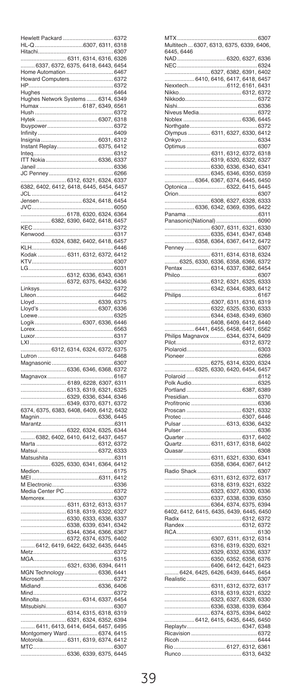| lewlett Packard                             |             |                                                   |                 |              |
|---------------------------------------------|-------------|---------------------------------------------------|-----------------|--------------|
| $IL-Q$                                      |             | 6307                                              | 6311, 6318      |              |
| <b>litachi</b>                              |             |                                                   | 314, 6316, 6    | 6307<br>326  |
| 6311,<br>6337, 6372, 6375, 6418, 6443, 645  |             |                                                   |                 | 4            |
| Home Automation                             |             |                                                   |                 | 6467         |
| Howard 0<br>Computers                       |             |                                                   |                 | 6372         |
| HP.                                         |             |                                                   |                 | 6<br>372     |
|                                             |             |                                                   |                 |              |
|                                             |             |                                                   |                 |              |
| Humax                                       |             | .<br>6187, 6349, 6561                             |                 |              |
| lush.<br>Hytek                              |             |                                                   | .6307, 6318     | 6372         |
| Ibuypower                                   |             |                                                   |                 | 6372         |
| Infinity                                    |             |                                                   |                 | 6409         |
|                                             |             |                                                   | 6031, 6312      |              |
| Instant Replay                              |             |                                                   | 6375, 6412      |              |
| Inteq.                                      |             |                                                   |                 | .6312        |
| ITT Nokia.                                  |             |                                                   | 6336, 6337      |              |
| Janeil<br>JC Penney                         |             |                                                   |                 | 6336<br>6266 |
|                                             |             | 6312, 6321, 6324, 6337                            |                 |              |
| 6382, 6402, 6412                            | 6418 6      |                                                   | 445, 6454, 6457 |              |
| JCL                                         |             |                                                   |                 | 6412         |
| Jensen                                      |             | 6324, 6418, 6454                                  |                 |              |
| JVC                                         |             |                                                   |                 | .6050        |
| .6382.                                      |             | 6178, 6320, 6324, 6364                            |                 |              |
| <b>KEC</b>                                  |             | 6390, 6402, 6418, 6457                            |                 | 6372         |
|                                             |             |                                                   |                 | .6317        |
| 6324, 6382, 6402, 6418, 6457                |             |                                                   |                 |              |
| KLH.                                        |             |                                                   |                 | 6446         |
| Kodak                                       |             | 6311, 6312, 6372, 6412                            |                 |              |
| KT<br>V.                                    |             |                                                   |                 | 6307         |
|                                             |             |                                                   |                 | 6031         |
|                                             |             | .6312, 6336, 6343, 6361<br>6372, 6375, 6432, 6436 |                 |              |
| Linksys                                     |             |                                                   |                 | 6372         |
| iteon<br>Ï                                  |             |                                                   |                 | 6462         |
| lovd                                        |             |                                                   | 6339            | , 6375       |
| Ï<br>loyd's                                 |             |                                                   | 6<br>307        | 6336         |
|                                             |             |                                                   |                 | 6325         |
|                                             |             | 6307                                              | 6336, 6446      | 6563         |
| orex                                        |             |                                                   |                 | .6317        |
| uxor                                        |             |                                                   |                 |              |
|                                             |             |                                                   |                 |              |
| XI<br>6312                                  | 6314        |                                                   |                 | 6307         |
| utron                                       |             | 6324, 6372, 6375                                  |                 | 6468         |
| Magnasonic                                  |             |                                                   |                 | .6307        |
|                                             |             | .6336, 6346, 6368, 6372                           |                 |              |
| Magnavox                                    |             |                                                   |                 | 6167         |
|                                             |             | 6189, 6228, 6307, 6311                            |                 |              |
|                                             |             | 6313, 6319, 6321, 6325                            |                 |              |
|                                             |             | 6329, 6336, 6344, 6346                            |                 |              |
|                                             |             |                                                   |                 |              |
| Magnin.                                     |             |                                                   |                 |              |
| Marantz                                     |             |                                                   |                 | 6311         |
| .                                           |             |                                                   |                 |              |
| $\ldots$ 6382, 6402, 6410, 6412, 6437, 6457 |             |                                                   |                 |              |
| Marta<br>Matsui.                            |             |                                                   | 6312, 6372      |              |
| Matsushita                                  |             |                                                   | 6372, 6333      | B<br>311     |
| .6325, 6330, 6341, 6364, 6412               |             |                                                   |                 |              |
| Medion.                                     |             |                                                   |                 | .6175        |
| <b>MEI</b>                                  |             |                                                   | 6311, 6412      |              |
| M Electronic                                |             |                                                   |                 | 6336         |
| Media Center PO<br>Memorex.                 |             |                                                   |                 | 6372<br>6307 |
|                                             |             |                                                   |                 |              |
|                                             |             | 6311, 6312, 6313, 6317<br>6318, 6319, 6322, 6327  |                 |              |
|                                             |             | 6330, 6333, 6336, 6337                            |                 |              |
|                                             |             | 6338, 6339, 6341, 6342                            |                 |              |
|                                             |             | 6344, 6364, 6366, 6367                            |                 |              |
|                                             |             | 6372, 6374, 6375, 6402                            |                 |              |
| 6412, 6419, 6422, 6432, 6435, 6445<br>Metz. |             |                                                   |                 | 6372         |
|                                             |             |                                                   |                 | 315<br>6     |
|                                             |             | 6321, 6336,                                       | 6394, 6411      |              |
| <b>MGN Technology</b>                       |             |                                                   | 6336,           | 6441         |
| Microsoft                                   |             |                                                   |                 | 6372         |
| Midland                                     |             |                                                   | 6336, 6406      | 6372         |
| Mind.<br>Minolta                            |             |                                                   |                 |              |
| Mitsubishi                                  | 6314,       |                                                   | 6337, 6454      | 6307         |
|                                             | 6314, 6315, |                                                   | 6318, 6319      |              |
|                                             |             |                                                   | 6352, 6394      |              |
|                                             |             | 4,                                                | 6457,           | 6495         |
| Montgomery Ward.                            |             |                                                   | 6374, 6415      |              |
| Motorola 6311, 6319, 6374, 6412<br>MTC      |             |                                                   |                 | 6307         |

| MTX.                                                                                                                                                                                                                                    |   |                          | 6307  |
|-----------------------------------------------------------------------------------------------------------------------------------------------------------------------------------------------------------------------------------------|---|--------------------------|-------|
|                                                                                                                                                                                                                                         |   |                          |       |
| 6445, 6446                                                                                                                                                                                                                              |   |                          |       |
| <b>NAD</b>                                                                                                                                                                                                                              |   | 6320, 6327, 6336         |       |
| NEC                                                                                                                                                                                                                                     |   |                          | .6324 |
|                                                                                                                                                                                                                                         |   |                          |       |
|                                                                                                                                                                                                                                         |   |                          |       |
|                                                                                                                                                                                                                                         |   |                          |       |
|                                                                                                                                                                                                                                         |   |                          |       |
|                                                                                                                                                                                                                                         |   |                          |       |
| Nishi                                                                                                                                                                                                                                   |   |                          |       |
| Niveus Media                                                                                                                                                                                                                            |   |                          | 6372  |
| Noblex                                                                                                                                                                                                                                  |   | 6336, 6445               |       |
| Northgate                                                                                                                                                                                                                               | . |                          | 6372  |
| Olympus  6311, 6327, 6330, 6412                                                                                                                                                                                                         |   |                          |       |
| Onkyo                                                                                                                                                                                                                                   |   |                          |       |
| Optimus                                                                                                                                                                                                                                 |   |                          | 6307  |
|                                                                                                                                                                                                                                         |   |                          |       |
|                                                                                                                                                                                                                                         |   |                          |       |
| $\begin{array}{r} 0.71, 0.71, 0.72, 0.77, 0.77, 0.77, 0.77, 0.77, 0.77, 0.77, 0.77, 0.77, 0.77, 0.77, 0.77, 0.77, 0.77, 0.77, 0.77, 0.77, 0.77, 0.77, 0.77, 0.77, 0.77, 0.77, 0.77, 0.77, 0.77, 0.77, 0.77, 0.77, 0.77, 0.77, 0.77, 0.$ |   |                          |       |
|                                                                                                                                                                                                                                         |   |                          |       |
|                                                                                                                                                                                                                                         |   |                          |       |
| Optonica  6322, 6415, 6445                                                                                                                                                                                                              |   |                          |       |
| <b>Drion</b>                                                                                                                                                                                                                            |   |                          | .6307 |
| 6308, 6327, 6328, 6333                                                                                                                                                                                                                  |   |                          |       |
| 6336, 6342, 6369, 6395, 6422                                                                                                                                                                                                            |   |                          |       |
| Panama                                                                                                                                                                                                                                  |   |                          |       |
| Panasonic(National)                                                                                                                                                                                                                     |   |                          | 6090  |
| 6307, 6311, 6321, 6330                                                                                                                                                                                                                  |   |                          |       |
|                                                                                                                                                                                                                                         |   |                          |       |
|                                                                                                                                                                                                                                         |   |                          |       |
| Penney                                                                                                                                                                                                                                  |   |                          | 6307  |
|                                                                                                                                                                                                                                         |   |                          |       |
|                                                                                                                                                                                                                                         |   |                          |       |
| Pentax                                                                                                                                                                                                                                  |   | . 6314, 6337, 6382, 6454 |       |
| Philco                                                                                                                                                                                                                                  | . | .                        | 6307  |
|                                                                                                                                                                                                                                         |   |                          |       |
|                                                                                                                                                                                                                                         |   |                          |       |
| Philips                                                                                                                                                                                                                                 |   |                          | .6167 |
|                                                                                                                                                                                                                                         |   |                          |       |
| 6307, 6311, 6316, 6319                                                                                                                                                                                                                  |   |                          |       |
|                                                                                                                                                                                                                                         |   |                          |       |
|                                                                                                                                                                                                                                         |   |                          |       |
|                                                                                                                                                                                                                                         |   |                          |       |
|                                                                                                                                                                                                                                         |   |                          |       |
|                                                                                                                                                                                                                                         |   |                          |       |
|                                                                                                                                                                                                                                         |   |                          |       |
|                                                                                                                                                                                                                                         |   |                          | 6303  |
| Piolaroid                                                                                                                                                                                                                               |   |                          |       |
| Pioneer                                                                                                                                                                                                                                 |   |                          | .6266 |
|                                                                                                                                                                                                                                         |   |                          |       |
| Polaroid                                                                                                                                                                                                                                |   |                          | 6112  |
|                                                                                                                                                                                                                                         |   |                          | .6325 |
| Portland 6387, 6389                                                                                                                                                                                                                     |   |                          |       |
|                                                                                                                                                                                                                                         |   |                          |       |
| Profitronic                                                                                                                                                                                                                             |   |                          | 6336  |
| Proscan                                                                                                                                                                                                                                 |   | 6321, 6332               |       |
|                                                                                                                                                                                                                                         |   |                          |       |
|                                                                                                                                                                                                                                         |   |                          |       |
|                                                                                                                                                                                                                                         |   |                          |       |
| Quarter                                                                                                                                                                                                                                 |   |                          |       |
| Quartz 6311, 6317, 6318, 6402                                                                                                                                                                                                           |   |                          |       |
| Quasar                                                                                                                                                                                                                                  |   |                          | 6308  |
| 6311, 6321, 6330, 6341                                                                                                                                                                                                                  |   |                          |       |
|                                                                                                                                                                                                                                         |   | 6358, 6364, 6367, 6412   |       |
| Radio Shack                                                                                                                                                                                                                             |   |                          | .6307 |
| 6311, 6312, 6372, 6317                                                                                                                                                                                                                  |   |                          |       |
|                                                                                                                                                                                                                                         |   |                          |       |
|                                                                                                                                                                                                                                         |   |                          |       |
|                                                                                                                                                                                                                                         |   |                          |       |
|                                                                                                                                                                                                                                         |   |                          |       |
|                                                                                                                                                                                                                                         |   |                          |       |
|                                                                                                                                                                                                                                         |   |                          |       |
|                                                                                                                                                                                                                                         |   |                          |       |
| RCA                                                                                                                                                                                                                                     | . |                          | 6130  |
| 6307, 6311, 6312, 6314                                                                                                                                                                                                                  |   |                          |       |
|                                                                                                                                                                                                                                         |   | 6316, 6319, 6320, 6321   |       |
|                                                                                                                                                                                                                                         |   |                          |       |
|                                                                                                                                                                                                                                         |   |                          |       |
|                                                                                                                                                                                                                                         |   |                          |       |
|                                                                                                                                                                                                                                         |   |                          |       |
| Realistic<br>p                                                                                                                                                                                                                          |   |                          | 6307  |
|                                                                                                                                                                                                                                         |   |                          |       |
|                                                                                                                                                                                                                                         |   |                          |       |
|                                                                                                                                                                                                                                         |   |                          |       |
|                                                                                                                                                                                                                                         |   |                          |       |
|                                                                                                                                                                                                                                         |   |                          |       |
|                                                                                                                                                                                                                                         |   |                          |       |
|                                                                                                                                                                                                                                         |   |                          |       |
|                                                                                                                                                                                                                                         |   |                          |       |
|                                                                                                                                                                                                                                         |   |                          | 6444  |
|                                                                                                                                                                                                                                         |   |                          |       |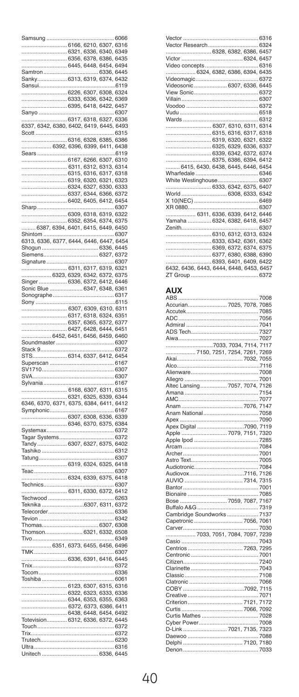| amsung                              |                |                                                   |                      |                  |
|-------------------------------------|----------------|---------------------------------------------------|----------------------|------------------|
|                                     |                | 6166, 6210, 6307                                  |                      | , 6316           |
|                                     | 6321, 6336,    |                                                   | 6340,                | 6349             |
|                                     | 6356           | 6<br>378.                                         | 6386, 6435           |                  |
|                                     |                | 6445, 6448, 6454, 6494                            |                      |                  |
| Samtron                             |                |                                                   | 6336, 6445           |                  |
| Sanky                               |                | 6313, 6319, 6374, 6432                            |                      |                  |
| iansui                              |                |                                                   |                      | 6119             |
|                                     |                | 6226, 6307, 6308, 6324<br>.6333, 6336, 6342, 6369 |                      |                  |
|                                     |                | 6395, 6418, 6422,                                 |                      | 6457             |
| Sanyo.                              |                |                                                   |                      | 6307             |
|                                     |                | 6317, 6318, 6327, 6336                            |                      |                  |
| 6337, 6342, 6380, 6402, 6419, 6445, |                |                                                   |                      | 6493             |
| cott                                |                |                                                   |                      | .6315            |
|                                     |                | .6316, 6328, 6385,                                |                      | 6386             |
| 6392, 6396, 6399, 6411,             |                |                                                   |                      | 6438             |
| Sears.                              |                |                                                   |                      | 6119             |
|                                     |                | 6167, 6266, 6307,                                 |                      | 6310<br>6314     |
|                                     |                | 6311, 6312, 6313,                                 |                      | 6318             |
|                                     |                | 6315, 6316, 6317,<br>6319, 6320,                  | 6321,                | 6323             |
|                                     |                | 6324, 6327, 6330, 6333                            |                      |                  |
|                                     |                | 6337, 6344, 6366, 6372                            |                      |                  |
|                                     |                | 6402, 6405, 6412,                                 |                      | 6454             |
| Sharp                               |                |                                                   |                      | .6307            |
|                                     |                | 6309, 6318, 6319, 6322                            |                      |                  |
|                                     |                | 6352, 6354, 6374, 6375                            |                      |                  |
| 6387                                |                | 4, 6401, 6415, 6449, 6450                         |                      |                  |
| Shintom                             |                |                                                   |                      | 6307             |
| 313, 6336, 63                       |                | , 6444, 6446, 6447,                               |                      | 6454             |
| Shogun.<br>Siemens.                 |                |                                                   | 6336, 6445<br>.6327, | 6372             |
| Signature                           |                |                                                   |                      | 6307             |
|                                     |                | 6311, 6317, 6319, 6321                            |                      |                  |
| 6323, 6329, 6342, 6372,<br>.        |                |                                                   |                      | 6375             |
| Singer                              |                | 6336, 6372, 6412, 6446                            |                      |                  |
| onic Blue                           |                | .6347                                             | 6348,                | 6361             |
| Sonographe                          |                |                                                   |                      | 6317             |
| Sony                                |                |                                                   |                      | 6115             |
|                                     |                | 6307, 6309, 6310, 6311                            |                      |                  |
|                                     | 6317           | 6318, 6324, 6351                                  |                      |                  |
|                                     | 6357<br>.6427, | , 6365, 6372,                                     |                      | 637<br>ī<br>6451 |
| . 6452, 6451, 6456, 6459,           |                | 6428, 6444,                                       |                      | 6460             |
|                                     |                |                                                   |                      |                  |
|                                     |                |                                                   |                      |                  |
| Soundmaster<br>Stack 9              |                |                                                   |                      | 6307<br>6372     |
| <b>STS</b>                          |                |                                                   |                      |                  |
| Superscan                           |                | 6314, 6337, 6412, 6454                            |                      | 6167             |
| SV1710                              |                |                                                   |                      | 6307             |
| VA                                  |                |                                                   |                      | 6307             |
| Sylvania                            |                |                                                   |                      | 6167             |
|                                     | 6168, 6307     |                                                   | 6311                 | 6315             |
|                                     |                | 6321, 6325, 6339, 6344                            |                      |                  |
|                                     |                | 6375, 6384, 6411,                                 |                      | 6412             |
| Symphonic                           |                |                                                   |                      | 6167             |
| 6307, 6308, 6336, 6339              |                |                                                   |                      |                  |
| 6346, 6370, 6375, 6384              |                |                                                   |                      |                  |
| Systemax<br>Tagar Systems           |                |                                                   |                      | .6372<br>.6372   |
| Tandy.<br>6307, 6327, 6375, 6402    |                |                                                   |                      |                  |
| Tashiko                             |                |                                                   |                      | 6312             |
| Tatung                              |                |                                                   |                      | 6307             |
|                                     |                | 6319, 6324, 6325, 6418                            |                      |                  |
| Teac                                |                |                                                   |                      | .6307            |
| <b>Technics</b>                     |                |                                                   |                      | 6307             |
|                                     |                | 6311, 6330, 6372, 6412                            |                      |                  |
| Techwood                            |                |                                                   |                      | .6263            |
| Teknika                             |                | .6307                                             | 6311, 6372           |                  |
| Telecorder                          |                |                                                   |                      | 6336             |
| Tevion                              |                |                                                   |                      | 6342             |
| Thomas                              |                |                                                   | 6307, 6308           |                  |
| Thomson                             |                | 6321                                              | 6332,                | 6508             |
| Tivo                                |                |                                                   |                      | 6349             |
| 6351, 6373, 6455, 6456, 6496        |                |                                                   |                      | .6307            |
| TMK                                 |                |                                                   |                      |                  |
| $T$ nix                             |                | .6336, 6391, 6416, 6445                           |                      | 6372             |
| Tocom                               |                |                                                   |                      | 6336             |
| Toshiba                             |                |                                                   |                      | .6061            |
|                                     |                | 6123, 6307, 6315, 6316                            |                      |                  |
|                                     |                | 6322, 6323, 6333, 6336                            |                      |                  |
|                                     |                | 6344, 6353, 6355, 6363                            |                      |                  |
|                                     |                | 6372, 6373, 6386,                                 |                      | 6411             |
|                                     |                | 6438, 6448, 6454,                                 |                      | 6492             |
| Totevision<br>Touch                 |                | 6312, 6336, 6372,                                 |                      | 6445<br>6372     |
| Trix                                |                |                                                   |                      | 6372             |
| Trutech                             |                |                                                   |                      |                  |
| Ultra                               |                |                                                   |                      | 6316             |

| 6328, 6382, 6386, 6457                   |  |
|------------------------------------------|--|
|                                          |  |
|                                          |  |
|                                          |  |
|                                          |  |
| Videosonic 6307, 6336, 6445              |  |
|                                          |  |
|                                          |  |
|                                          |  |
|                                          |  |
|                                          |  |
| 6307, 6310, 6311, 6314                   |  |
|                                          |  |
|                                          |  |
|                                          |  |
|                                          |  |
|                                          |  |
| 6415. 6430. 6438. 6445. 6446. 6454       |  |
|                                          |  |
| White Westinghouse 6307                  |  |
| 6333. 6342. 6375. 6407                   |  |
| World 6308, 6333, 6342                   |  |
|                                          |  |
|                                          |  |
| 6311. 6336. 6339. 6412. 6446             |  |
| Yamaha  6324, 6382, 6418, 6457           |  |
|                                          |  |
|                                          |  |
| 6333. 6342. 6361. 6362                   |  |
| 6369. 6372. 6374. 6375                   |  |
| 6377. 6380. 6388. 6390                   |  |
| 6393. 6401. 6409. 6422                   |  |
| 6432, 6436, 6443, 6444, 6448, 6453, 6457 |  |
|                                          |  |

#### **AUX**

| Accurian 7025, 7078, 7085      |  |  |
|--------------------------------|--|--|
|                                |  |  |
|                                |  |  |
|                                |  |  |
|                                |  |  |
|                                |  |  |
|                                |  |  |
| 7150. 7251. 7254. 7261. 7269   |  |  |
|                                |  |  |
|                                |  |  |
|                                |  |  |
|                                |  |  |
| Altec Lansing 7057, 7074, 7126 |  |  |
|                                |  |  |
|                                |  |  |
|                                |  |  |
|                                |  |  |
|                                |  |  |
|                                |  |  |
|                                |  |  |
|                                |  |  |
|                                |  |  |
|                                |  |  |
|                                |  |  |
|                                |  |  |
|                                |  |  |
|                                |  |  |
|                                |  |  |
|                                |  |  |
|                                |  |  |
|                                |  |  |
|                                |  |  |
| Cambridge Soundworks 7137      |  |  |
|                                |  |  |
|                                |  |  |
|                                |  |  |
|                                |  |  |
|                                |  |  |
|                                |  |  |
|                                |  |  |
|                                |  |  |
|                                |  |  |
|                                |  |  |
|                                |  |  |
|                                |  |  |
|                                |  |  |
|                                |  |  |
|                                |  |  |
|                                |  |  |
|                                |  |  |
|                                |  |  |
|                                |  |  |
|                                |  |  |
|                                |  |  |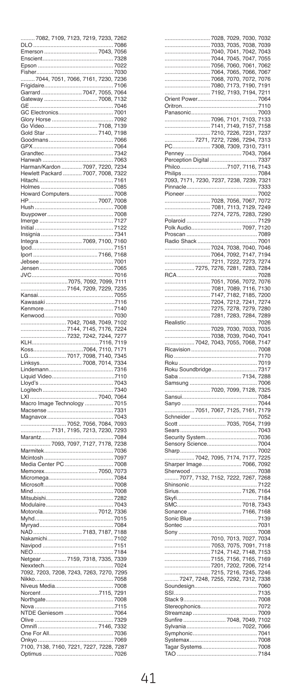| 7082, 7109, 7123, 7219,                                     | 7233, 7262 |              |
|-------------------------------------------------------------|------------|--------------|
| DLO                                                         |            | 7086         |
| p<br>merson.                                                | 7043,      | 7056         |
|                                                             |            | 7328         |
| Enscient                                                    |            |              |
| Epson                                                       |            | 7022         |
| F<br>isher                                                  |            | 7030         |
| 7044, 7051, 7066, 7161, 7230,                               |            | 7236         |
| Frigidaire                                                  |            | 7106         |
| $\overline{7047}$<br>Garrard.                               | <br>7055,  | 7064         |
| Gateway                                                     | 7008,      | 7132         |
| GE                                                          |            | 7046         |
| GE<br>GC Electronics                                        |            | 7001         |
| Glory Horse                                                 |            | 7092         |
| Go Video                                                    | 7108,      | 7139         |
| Gold Star                                                   |            | 7198         |
|                                                             | 7140,      |              |
| Goodmans                                                    |            | 7066         |
| GPX                                                         |            | 7064         |
| Grandtec                                                    |            | 7342         |
| Hanwah                                                      |            | 7063         |
|                                                             | 7220       | 7234         |
|                                                             | 7008,      | 7322         |
|                                                             |            | 7161         |
|                                                             |            | 7085         |
| Howard Computers                                            |            | 7008         |
| HP                                                          | 7007,      | 7008         |
| Hush.                                                       |            | 7008         |
|                                                             |            |              |
| Ibuypower                                                   |            | 7008         |
| Imerge                                                      |            | 127          |
| Initial                                                     |            | ,<br>7122    |
| Insignia                                                    |            | 7341         |
| Integra<br>7069                                             | 7100.      | 7160         |
| lpod                                                        |            | 7151         |
| lport                                                       | 7166,      | 7168         |
| Jebsee.                                                     |            | 7001         |
| Jensen                                                      |            | 7065         |
| JVC                                                         |            | 7016         |
| 7092,<br><br>7075,                                          |            | 7111         |
|                                                             | <br>7099,  |              |
| 7209,<br>7164,                                              | 7229,      | 7235         |
| Kansai.                                                     |            | 7055         |
| Kawasaki                                                    |            | 7116         |
| Kenmore.                                                    |            | 7140         |
| Kenwood                                                     |            | 7030         |
| 7042, 7048, 7049,<br>7144, 7145, 7176,<br>7232, 7242, 7244, |            | 7102         |
|                                                             |            | 7224         |
|                                                             | 7244,      | 7277         |
| <br>KLH                                                     | <br>7116,  |              |
|                                                             |            |              |
|                                                             |            | 7119         |
| 7064,<br>Koss                                               | 7110,      | 717<br>f     |
| I G<br>7098,                                                | 7140,      | 7345         |
| Linksys                                                     | 7014.      | 7334         |
| Lindemann                                                   |            | 7316         |
| Liquid Video                                                |            | 7110         |
|                                                             |            | 7043         |
| Lloyd's                                                     |            | 7340         |
| Logitech<br>$x_{1}$<br>ı                                    |            | 7064         |
|                                                             | 7040.      |              |
| Macro Image Technology                                      |            | 7015         |
| Macsense                                                    |            | 7331         |
| Magnavox                                                    |            | 7043         |
| .                                                           |            | 7093         |
|                                                             |            | 7293         |
| Marantz                                                     |            | 7084         |
| 7093, 7097, 7127, 7178,                                     |            | 7238         |
| <br>Marmitek                                                |            | 7036         |
| Mcintosh                                                    |            | 7097         |
|                                                             |            | 7008         |
| Memorex                                                     | 7050,      | 7073         |
|                                                             |            | 7084         |
| Micromega                                                   |            |              |
| Microsoft                                                   |            | 7008         |
| Mind                                                        |            | 7008         |
| Mitsubishi                                                  |            | 7282         |
| Modulaire                                                   |            | 7043         |
| Motorola                                                    | 7012,      | 7336         |
| Myhd                                                        |            | 7015         |
|                                                             |            | 7084         |
| <br>NAD<br><br>7183,                                        | <br>7187,  | 188          |
| NAD<br>Nakamichi                                            |            | .<br>7102    |
| Navipod                                                     |            | 7151         |
| <b>NEO</b>                                                  |            | 7184         |
| 7318                                                        | 7335.      | 7339         |
| Netgear                                                     |            | 7024         |
| Nexxtech.                                                   |            |              |
| 7092, 7203, 7208, 7243, 7263<br>ł.                          | <br>7270,  | 7295         |
| Nikko                                                       |            | 7058         |
| Niveus Media                                                |            | 7008         |
| Norcent.                                                    | 115.       | 7291         |
| Northgate                                                   |            | 7008         |
| Nova.                                                       |            | 7115         |
| NTDE Geniesom                                               |            | 7064         |
| Olive                                                       |            | 329          |
| <br>Dmnifi<br>ć                                             | .<br>146,  | 7332         |
|                                                             |            | 7036         |
| One For All                                                 |            |              |
|                                                             |            | 7069         |
| Optimus                                                     | 7228.      | 7287<br>7026 |

| Orient Power                                                                                                                                                                                                                                 |  |      |
|----------------------------------------------------------------------------------------------------------------------------------------------------------------------------------------------------------------------------------------------|--|------|
|                                                                                                                                                                                                                                              |  |      |
|                                                                                                                                                                                                                                              |  |      |
|                                                                                                                                                                                                                                              |  |      |
|                                                                                                                                                                                                                                              |  |      |
|                                                                                                                                                                                                                                              |  |      |
|                                                                                                                                                                                                                                              |  |      |
|                                                                                                                                                                                                                                              |  |      |
|                                                                                                                                                                                                                                              |  |      |
|                                                                                                                                                                                                                                              |  |      |
|                                                                                                                                                                                                                                              |  |      |
|                                                                                                                                                                                                                                              |  |      |
|                                                                                                                                                                                                                                              |  |      |
|                                                                                                                                                                                                                                              |  |      |
|                                                                                                                                                                                                                                              |  |      |
|                                                                                                                                                                                                                                              |  |      |
|                                                                                                                                                                                                                                              |  |      |
|                                                                                                                                                                                                                                              |  |      |
|                                                                                                                                                                                                                                              |  |      |
|                                                                                                                                                                                                                                              |  |      |
|                                                                                                                                                                                                                                              |  |      |
|                                                                                                                                                                                                                                              |  |      |
| Perception Digital 7107, 7116, 7337<br>Philips (1717, 7230, 7237, 7238, 7239, 7321, 7038, 7471, 7230, 7237, 7238, 7329, 7321, 7329, 7329, 7329, 7329, 7329, 7329, 7329, 7329, 7329, 7329, 7329, 7329, 7329, 7329, 7329, 7329, 73             |  |      |
|                                                                                                                                                                                                                                              |  |      |
|                                                                                                                                                                                                                                              |  |      |
|                                                                                                                                                                                                                                              |  |      |
|                                                                                                                                                                                                                                              |  |      |
|                                                                                                                                                                                                                                              |  |      |
|                                                                                                                                                                                                                                              |  |      |
|                                                                                                                                                                                                                                              |  |      |
|                                                                                                                                                                                                                                              |  |      |
|                                                                                                                                                                                                                                              |  |      |
|                                                                                                                                                                                                                                              |  |      |
|                                                                                                                                                                                                                                              |  |      |
|                                                                                                                                                                                                                                              |  |      |
|                                                                                                                                                                                                                                              |  |      |
|                                                                                                                                                                                                                                              |  |      |
|                                                                                                                                                                                                                                              |  |      |
|                                                                                                                                                                                                                                              |  |      |
|                                                                                                                                                                                                                                              |  |      |
|                                                                                                                                                                                                                                              |  |      |
|                                                                                                                                                                                                                                              |  |      |
|                                                                                                                                                                                                                                              |  |      |
| Rio                                                                                                                                                                                                                                          |  | 7170 |
| Processor (1994)<br>Top 1004, 1008, 1009<br>Top 1004, 1008, 1009, 1009<br>Top 1004, 1008, 1009, 1009<br>Top 1004, 1009, 1147, 1194<br>Top 1004, 1009, 1147, 1152, 1158, 1269<br>Top 1004, 1008, 1168, 1269<br>Top 1004, 1278, 1278, 1278, 12 |  |      |
|                                                                                                                                                                                                                                              |  |      |
|                                                                                                                                                                                                                                              |  |      |
|                                                                                                                                                                                                                                              |  |      |
|                                                                                                                                                                                                                                              |  |      |
|                                                                                                                                                                                                                                              |  |      |
|                                                                                                                                                                                                                                              |  |      |
|                                                                                                                                                                                                                                              |  |      |
|                                                                                                                                                                                                                                              |  |      |
|                                                                                                                                                                                                                                              |  |      |
|                                                                                                                                                                                                                                              |  |      |
|                                                                                                                                                                                                                                              |  |      |
|                                                                                                                                                                                                                                              |  |      |
|                                                                                                                                                                                                                                              |  |      |
|                                                                                                                                                                                                                                              |  |      |
|                                                                                                                                                                                                                                              |  |      |
|                                                                                                                                                                                                                                              |  |      |
|                                                                                                                                                                                                                                              |  |      |
|                                                                                                                                                                                                                                              |  |      |
|                                                                                                                                                                                                                                              |  |      |
|                                                                                                                                                                                                                                              |  |      |
|                                                                                                                                                                                                                                              |  |      |
|                                                                                                                                                                                                                                              |  |      |
|                                                                                                                                                                                                                                              |  |      |
|                                                                                                                                                                                                                                              |  |      |
|                                                                                                                                                                                                                                              |  |      |
|                                                                                                                                                                                                                                              |  |      |
|                                                                                                                                                                                                                                              |  |      |
|                                                                                                                                                                                                                                              |  |      |
|                                                                                                                                                                                                                                              |  |      |
|                                                                                                                                                                                                                                              |  |      |
|                                                                                                                                                                                                                                              |  |      |
|                                                                                                                                                                                                                                              |  |      |
|                                                                                                                                                                                                                                              |  |      |
|                                                                                                                                                                                                                                              |  |      |
|                                                                                                                                                                                                                                              |  |      |
| SSI                                                                                                                                                                                                                                          |  | 7135 |
|                                                                                                                                                                                                                                              |  | 7008 |
|                                                                                                                                                                                                                                              |  |      |
|                                                                                                                                                                                                                                              |  |      |
|                                                                                                                                                                                                                                              |  |      |
|                                                                                                                                                                                                                                              |  |      |
|                                                                                                                                                                                                                                              |  |      |
|                                                                                                                                                                                                                                              |  |      |
|                                                                                                                                                                                                                                              |  |      |
|                                                                                                                                                                                                                                              |  | 7184 |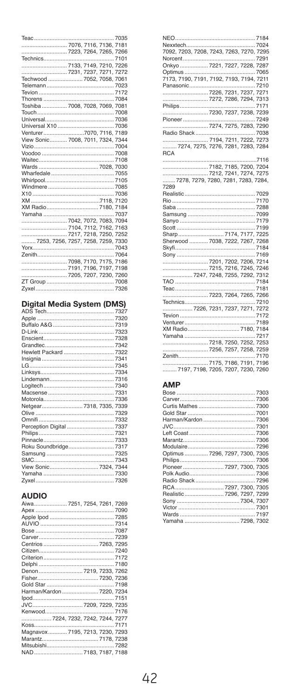| Teac                               |  | 7035 |
|------------------------------------|--|------|
|                                    |  |      |
|                                    |  |      |
|                                    |  |      |
|                                    |  |      |
|                                    |  |      |
| Techwood  7052, 7058, 7061         |  |      |
|                                    |  |      |
|                                    |  |      |
|                                    |  |      |
| Toshiba 7008. 7028. 7069. 7081     |  |      |
|                                    |  |      |
|                                    |  |      |
|                                    |  |      |
|                                    |  |      |
| View Sonic 7008, 7011, 7324, 7344  |  |      |
|                                    |  |      |
|                                    |  |      |
|                                    |  |      |
|                                    |  |      |
|                                    |  |      |
|                                    |  |      |
|                                    |  |      |
|                                    |  |      |
|                                    |  |      |
|                                    |  |      |
|                                    |  |      |
|                                    |  |      |
| 7104. 7112. 7162. 7163             |  |      |
|                                    |  |      |
| 7253, 7256, 7257, 7258, 7259, 7330 |  |      |
|                                    |  |      |
|                                    |  |      |
|                                    |  |      |
|                                    |  |      |
|                                    |  |      |
|                                    |  |      |
|                                    |  |      |

|  | Digital Media System (DMS) |  |
|--|----------------------------|--|
|  |                            |  |

| Hewlett Packard  7322    |  |
|--------------------------|--|
|                          |  |
|                          |  |
|                          |  |
|                          |  |
|                          |  |
|                          |  |
|                          |  |
| Netgear 7318, 7335, 7339 |  |
|                          |  |
|                          |  |
| Perception Digital  7337 |  |
|                          |  |
|                          |  |
| Roku Soundbridge 7317    |  |
|                          |  |
|                          |  |
|                          |  |
|                          |  |
|                          |  |
|                          |  |

#### **AUDIO**

| Aiwa7251, 7254, 7261, 7269      |  |
|---------------------------------|--|
|                                 |  |
|                                 |  |
|                                 |  |
|                                 |  |
|                                 |  |
|                                 |  |
|                                 |  |
|                                 |  |
|                                 |  |
| Denon  7219, 7233, 7262         |  |
|                                 |  |
|                                 |  |
| Harman/Kardon  7220. 7234       |  |
|                                 |  |
|                                 |  |
|                                 |  |
| 7224, 7232, 7242, 7244, 7277    |  |
|                                 |  |
| Magnavox 7195, 7213, 7230, 7293 |  |
|                                 |  |
|                                 |  |
| NAD 7183 7187 7188              |  |

| 7092, 7203, 7208, 7243, 7263, 7270, 7295 |  |  |
|------------------------------------------|--|--|
|                                          |  |  |
| Onkyo  7221, 7227, 7228, 7287            |  |  |
|                                          |  |  |
|                                          |  |  |
|                                          |  |  |
|                                          |  |  |
|                                          |  |  |
|                                          |  |  |
|                                          |  |  |
|                                          |  |  |
|                                          |  |  |
|                                          |  |  |
|                                          |  |  |
| 7274, 7275, 7276, 7281, 7283, 7284       |  |  |
| <b>RCA</b>                               |  |  |
|                                          |  |  |
|                                          |  |  |
|                                          |  |  |
| 7278, 7279, 7280, 7281, 7283, 7284,      |  |  |
| 7289                                     |  |  |
|                                          |  |  |
|                                          |  |  |
|                                          |  |  |
|                                          |  |  |
|                                          |  |  |
|                                          |  |  |
|                                          |  |  |
|                                          |  |  |
|                                          |  |  |
|                                          |  |  |
|                                          |  |  |
|                                          |  |  |
| 7247, 7248, 7255, 7292, 7312             |  |  |
|                                          |  |  |
|                                          |  |  |
|                                          |  |  |
|                                          |  |  |
|                                          |  |  |
|                                          |  |  |
|                                          |  |  |
|                                          |  |  |
|                                          |  |  |
|                                          |  |  |
|                                          |  |  |
|                                          |  |  |
|                                          |  |  |
| 7197, 7198, 7205, 7207, 7230, 7260       |  |  |

#### AMP

| Optimus  7296, 7297, 7300, 7305 |  |
|---------------------------------|--|
|                                 |  |
| Pioneer  7297, 7300, 7305       |  |
|                                 |  |
|                                 |  |
|                                 |  |
| Realistic 7296, 7297, 7299      |  |
|                                 |  |
|                                 |  |
|                                 |  |
|                                 |  |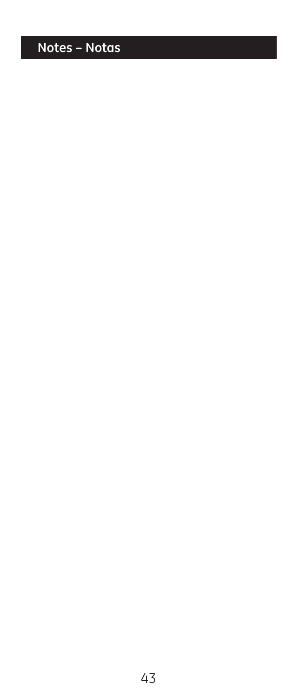# Notes - Notas